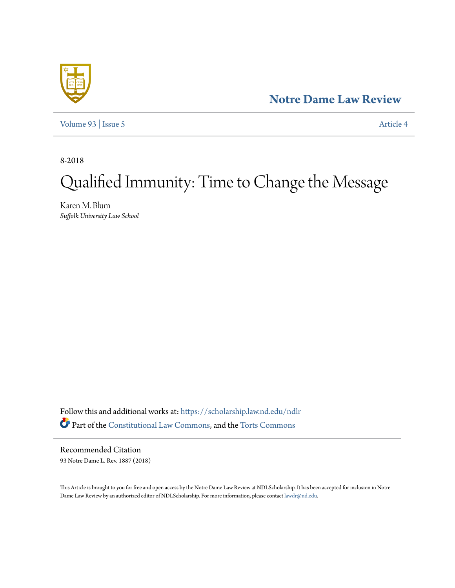**[Notre Dame Law Review](https://scholarship.law.nd.edu/ndlr?utm_source=scholarship.law.nd.edu%2Fndlr%2Fvol93%2Fiss5%2F4&utm_medium=PDF&utm_campaign=PDFCoverPages)**

[Volume 93](https://scholarship.law.nd.edu/ndlr/vol93?utm_source=scholarship.law.nd.edu%2Fndlr%2Fvol93%2Fiss5%2F4&utm_medium=PDF&utm_campaign=PDFCoverPages) | [Issue 5](https://scholarship.law.nd.edu/ndlr/vol93/iss5?utm_source=scholarship.law.nd.edu%2Fndlr%2Fvol93%2Fiss5%2F4&utm_medium=PDF&utm_campaign=PDFCoverPages) [Article 4](https://scholarship.law.nd.edu/ndlr/vol93/iss5/4?utm_source=scholarship.law.nd.edu%2Fndlr%2Fvol93%2Fiss5%2F4&utm_medium=PDF&utm_campaign=PDFCoverPages)

8-2018

# Qualified Immunity: Time to Change the Message

Karen M. Blum *Suffolk University Law School*

Follow this and additional works at: [https://scholarship.law.nd.edu/ndlr](https://scholarship.law.nd.edu/ndlr?utm_source=scholarship.law.nd.edu%2Fndlr%2Fvol93%2Fiss5%2F4&utm_medium=PDF&utm_campaign=PDFCoverPages) Part of the [Constitutional Law Commons,](http://network.bepress.com/hgg/discipline/589?utm_source=scholarship.law.nd.edu%2Fndlr%2Fvol93%2Fiss5%2F4&utm_medium=PDF&utm_campaign=PDFCoverPages) and the [Torts Commons](http://network.bepress.com/hgg/discipline/913?utm_source=scholarship.law.nd.edu%2Fndlr%2Fvol93%2Fiss5%2F4&utm_medium=PDF&utm_campaign=PDFCoverPages)

Recommended Citation 93 Notre Dame L. Rev. 1887 (2018)

This Article is brought to you for free and open access by the Notre Dame Law Review at NDLScholarship. It has been accepted for inclusion in Notre Dame Law Review by an authorized editor of NDLScholarship. For more information, please contact [lawdr@nd.edu.](mailto:lawdr@nd.edu)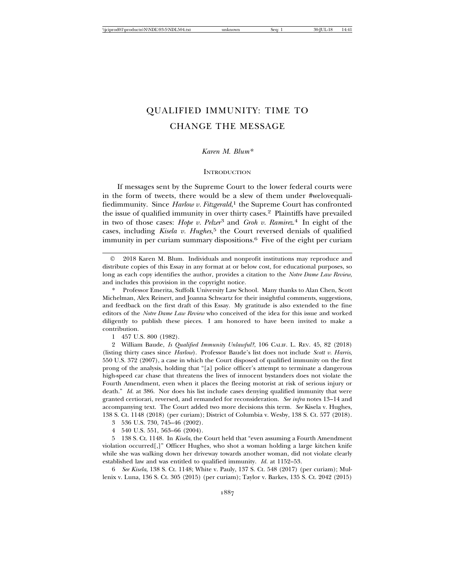## QUALIFIED IMMUNITY: TIME TO CHANGE THE MESSAGE

### *Karen M. Blum\**

#### **INTRODUCTION**

If messages sent by the Supreme Court to the lower federal courts were in the form of tweets, there would be a slew of them under #welovequalifiedimmunity. Since *Harlow v. Fitzgerald*, <sup>1</sup> the Supreme Court has confronted the issue of qualified immunity in over thirty cases.<sup>2</sup> Plaintiffs have prevailed in two of those cases: *Hope v. Pelzer*3 and *Groh v. Ramirez*. 4 In eight of the cases, including *Kisela v. Hughes*, 5 the Court reversed denials of qualified immunity in per curiam summary dispositions.<sup>6</sup> Five of the eight per curiam

\* Professor Emerita, Suffolk University Law School. Many thanks to Alan Chen, Scott Michelman, Alex Reinert, and Joanna Schwartz for their insightful comments, suggestions, and feedback on the first draft of this Essay. My gratitude is also extended to the fine editors of the *Notre Dame Law Review* who conceived of the idea for this issue and worked diligently to publish these pieces. I am honored to have been invited to make a contribution.

1 457 U.S. 800 (1982).

2 William Baude, *Is Qualified Immunity Unlawful?*, 106 CALIF. L. REV. 45, 82 (2018) (listing thirty cases since *Harlow*). Professor Baude's list does not include *Scott v. Harris*, 550 U.S. 372 (2007), a case in which the Court disposed of qualified immunity on the first prong of the analysis, holding that "[a] police officer's attempt to terminate a dangerous high-speed car chase that threatens the lives of innocent bystanders does not violate the Fourth Amendment, even when it places the fleeing motorist at risk of serious injury or death." *Id.* at 386. Nor does his list include cases denying qualified immunity that were granted certiorari, reversed, and remanded for reconsideration. *See infra* notes 13–14 and accompanying text. The Court added two more decisions this term. *See* Kisela v. Hughes, 138 S. Ct. 1148 (2018) (per curiam); District of Columbia v. Wesby, 138 S. Ct. 577 (2018).

- 3 536 U.S. 730, 745–46 (2002).
- 4 540 U.S. 551, 563–66 (2004).

5 138 S. Ct. 1148. In *Kisela*, the Court held that "even assuming a Fourth Amendment violation occurred[,]" Officer Hughes, who shot a woman holding a large kitchen knife while she was walking down her driveway towards another woman, did not violate clearly established law and was entitled to qualified immunity. *Id.* at 1152–53.

6 *See Kisela*, 138 S. Ct. 1148; White v. Pauly, 137 S. Ct. 548 (2017) (per curiam); Mullenix v. Luna, 136 S. Ct. 305 (2015) (per curiam); Taylor v. Barkes, 135 S. Ct. 2042 (2015)

<sup>©</sup> 2018 Karen M. Blum. Individuals and nonprofit institutions may reproduce and distribute copies of this Essay in any format at or below cost, for educational purposes, so long as each copy identifies the author, provides a citation to the *Notre Dame Law Review*, and includes this provision in the copyright notice.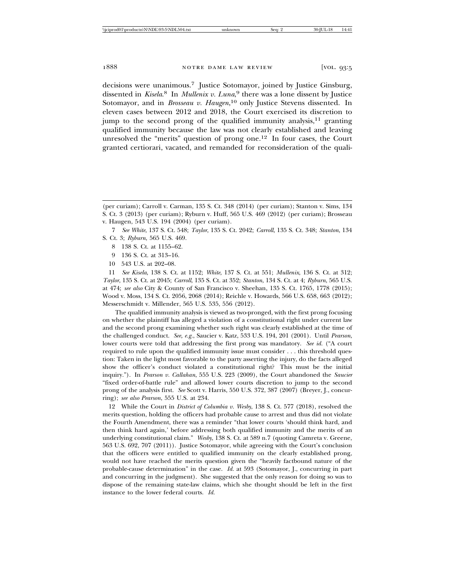decisions were unanimous.7 Justice Sotomayor, joined by Justice Ginsburg, dissented in *Kisela*. 8 In *Mullenix v. Luna*, 9 there was a lone dissent by Justice Sotomayor, and in *Brosseau v. Haugen*,<sup>10</sup> only Justice Stevens dissented. In eleven cases between 2012 and 2018, the Court exercised its discretion to jump to the second prong of the qualified immunity analysis, $11$  granting qualified immunity because the law was not clearly established and leaving unresolved the "merits" question of prong one.12 In four cases, the Court granted certiorari, vacated, and remanded for reconsideration of the quali-

- 8 138 S. Ct. at 1155–62.
- 9 136 S. Ct. at 313–16.
- 10 543 U.S. at 202–08.

11 *See Kisela*, 138 S. Ct. at 1152; *White*, 137 S. Ct. at 551; *Mullenix*, 136 S. Ct. at 312; *Taylor*, 135 S. Ct. at 2045; *Carroll*, 135 S. Ct. at 352; *Stanton*, 134 S. Ct. at 4; *Ryburn*, 565 U.S. at 474; *see also* City & County of San Francisco v. Sheehan, 135 S. Ct. 1765, 1778 (2015); Wood v. Moss, 134 S. Ct. 2056, 2068 (2014); Reichle v. Howards, 566 U.S. 658, 663 (2012); Messerschmidt v. Millender, 565 U.S. 535, 556 (2012).

The qualified immunity analysis is viewed as two-pronged, with the first prong focusing on whether the plaintiff has alleged a violation of a constitutional right under current law and the second prong examining whether such right was clearly established at the time of the challenged conduct. *See, e.g.*, Saucier v. Katz, 533 U.S. 194, 201 (2001). Until *Pearson*, lower courts were told that addressing the first prong was mandatory. *See id.* ("A court required to rule upon the qualified immunity issue must consider . . . this threshold question: Taken in the light most favorable to the party asserting the injury, do the facts alleged show the officer's conduct violated a constitutional right? This must be the initial inquiry."). In *Pearson v. Callahan*, 555 U.S. 223 (2009), the Court abandoned the *Saucier* "fixed order-of-battle rule" and allowed lower courts discretion to jump to the second prong of the analysis first. *See* Scott v. Harris, 550 U.S. 372, 387 (2007) (Breyer, J., concurring); *see also Pearson*, 555 U.S. at 234.

12 While the Court in *District of Columbia v. Wesby*, 138 S. Ct. 577 (2018), resolved the merits question, holding the officers had probable cause to arrest and thus did not violate the Fourth Amendment, there was a reminder "that lower courts 'should think hard, and then think hard again,' before addressing both qualified immunity and the merits of an underlying constitutional claim." *Wesby*, 138 S. Ct. at 589 n.7 (quoting Camreta v. Greene, 563 U.S. 692, 707 (2011)). Justice Sotomayor, while agreeing with the Court's conclusion that the officers were entitled to qualified immunity on the clearly established prong, would not have reached the merits question given the "heavily factbound nature of the probable-cause determination" in the case. *Id.* at 593 (Sotomayor, J., concurring in part and concurring in the judgment). She suggested that the only reason for doing so was to dispose of the remaining state-law claims, which she thought should be left in the first instance to the lower federal courts. *Id.*

<sup>(</sup>per curiam); Carroll v. Carman, 135 S. Ct. 348 (2014) (per curiam); Stanton v. Sims, 134 S. Ct. 3 (2013) (per curiam); Ryburn v. Huff, 565 U.S. 469 (2012) (per curiam); Brosseau v. Haugen, 543 U.S. 194 (2004) (per curiam).

<sup>7</sup> *See White*, 137 S. Ct. 548; *Taylor*, 135 S. Ct. 2042; *Carroll*, 135 S. Ct. 348; *Stanton*, 134 S. Ct. 3; *Ryburn*, 565 U.S. 469.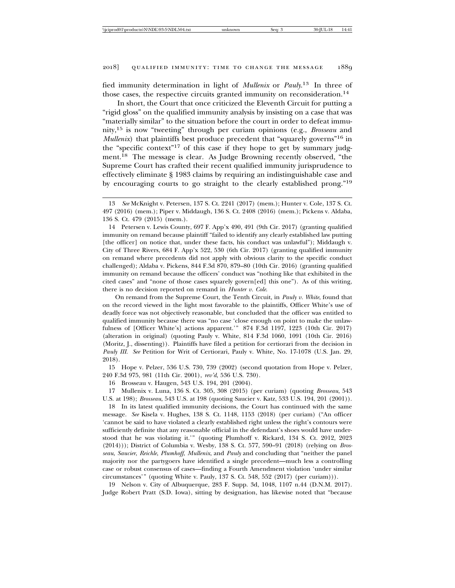fied immunity determination in light of *Mullenix* or *Pauly*. 13 In three of those cases, the respective circuits granted immunity on reconsideration.<sup>14</sup>

In short, the Court that once criticized the Eleventh Circuit for putting a "rigid gloss" on the qualified immunity analysis by insisting on a case that was "materially similar" to the situation before the court in order to defeat immunity,15 is now "tweeting" through per curiam opinions (e.g., *Brosseau* and *Mullenix*) that plaintiffs best produce precedent that "squarely governs"<sup>16</sup> in the "specific context"17 of this case if they hope to get by summary judgment.18 The message is clear. As Judge Browning recently observed, "the Supreme Court has crafted their recent qualified immunity jurisprudence to effectively eliminate § 1983 claims by requiring an indistinguishable case and by encouraging courts to go straight to the clearly established prong."19

14 Petersen v. Lewis County, 697 F. App'x 490, 491 (9th Cir. 2017) (granting qualified immunity on remand because plaintiff "failed to identify any clearly established law putting [the officer] on notice that, under these facts, his conduct was unlawful"); Middaugh v. City of Three Rivers, 684 F. App'x 522, 530 (6th Cir. 2017) (granting qualified immunity on remand where precedents did not apply with obvious clarity to the specific conduct challenged); Aldaba v. Pickens, 844 F.3d 870, 879–80 (10th Cir. 2016) (granting qualified immunity on remand because the officers' conduct was "nothing like that exhibited in the cited cases" and "none of those cases squarely govern[ed] this one"). As of this writing, there is no decision reported on remand in *Hunter v. Cole*.

On remand from the Supreme Court, the Tenth Circuit, in *Pauly v. White*, found that on the record viewed in the light most favorable to the plaintiffs, Officer White's use of deadly force was not objectively reasonable, but concluded that the officer was entitled to qualified immunity because there was "no case 'close enough on point to make the unlawfulness of [Officer White's] actions apparent.'" 874 F.3d 1197, 1223 (10th Cir. 2017) (alteration in original) (quoting Pauly v. White, 814 F.3d 1060, 1091 (10th Cir. 2016) (Moritz, J., dissenting)). Plaintiffs have filed a petition for certiorari from the decision in *Pauly III*. *See* Petition for Writ of Certiorari, Pauly v. White, No. 17-1078 (U.S. Jan. 29, 2018).

15 Hope v. Pelzer, 536 U.S. 730, 739 (2002) (second quotation from Hope v. Pelzer, 240 F.3d 975, 981 (11th Cir. 2001), *rev'd*, 536 U.S. 730).

16 Brosseau v. Haugen, 543 U.S. 194, 201 (2004).

17 Mullenix v. Luna, 136 S. Ct. 305, 308 (2015) (per curiam) (quoting *Brosseau*, 543 U.S. at 198); *Brosseau*, 543 U.S. at 198 (quoting Saucier v. Katz, 533 U.S. 194, 201 (2001)).

18 In its latest qualified immunity decisions, the Court has continued with the same message. *See* Kisela v. Hughes, 138 S. Ct. 1148, 1153 (2018) (per curiam) ("An officer 'cannot be said to have violated a clearly established right unless the right's contours were sufficiently definite that any reasonable official in the defendant's shoes would have understood that he was violating it.'" (quoting Plumhoff v. Rickard, 134 S. Ct. 2012, 2023 (2014))); District of Columbia v. Wesby, 138 S. Ct. 577, 590–91 (2018) (relying on *Brosseau*, *Saucier*, *Reichle*, *Plumhoff*, *Mullenix*, and *Pauly* and concluding that "neither the panel majority nor the partygoers have identified a single precedent—much less a controlling case or robust consensus of cases—finding a Fourth Amendment violation 'under similar circumstances'" (quoting White v. Pauly, 137 S. Ct. 548, 552 (2017) (per curiam))).

19 Nelson v. City of Albuquerque, 283 F. Supp. 3d, 1048, 1107 n.44 (D.N.M. 2017). Judge Robert Pratt (S.D. Iowa), sitting by designation, has likewise noted that "because

<sup>13</sup> *See* McKnight v. Petersen, 137 S. Ct. 2241 (2017) (mem.); Hunter v. Cole, 137 S. Ct. 497 (2016) (mem.); Piper v. Middaugh, 136 S. Ct. 2408 (2016) (mem.); Pickens v. Aldaba, 136 S. Ct. 479 (2015) (mem.).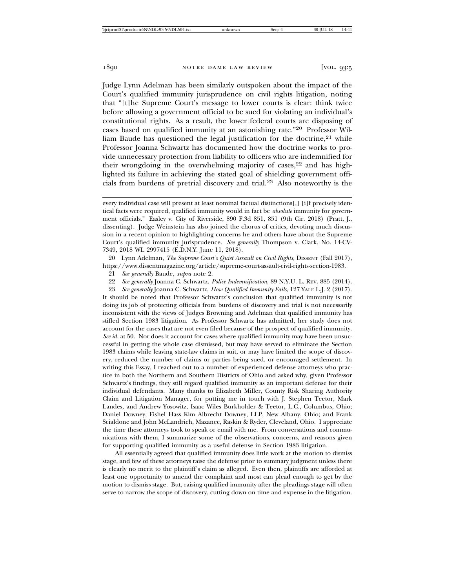Judge Lynn Adelman has been similarly outspoken about the impact of the Court's qualified immunity jurisprudence on civil rights litigation, noting that "[t]he Supreme Court's message to lower courts is clear: think twice before allowing a government official to be sued for violating an individual's constitutional rights. As a result, the lower federal courts are disposing of cases based on qualified immunity at an astonishing rate."20 Professor William Baude has questioned the legal justification for the doctrine, $21$  while Professor Joanna Schwartz has documented how the doctrine works to provide unnecessary protection from liability to officers who are indemnified for their wrongdoing in the overwhelming majority of cases,  $22$  and has highlighted its failure in achieving the stated goal of shielding government officials from burdens of pretrial discovery and trial.23 Also noteworthy is the

20 Lynn Adelman, *The Supreme Court's Quiet Assault on Civil Rights*, DISSENT (Fall 2017), https://www.dissentmagazine.org/article/supreme-court-assault-civil-rights-section-1983.

21 *See generally* Baude, *supra* note 2.

22 *See generally* Joanna C. Schwartz, *Police Indemnification*, 89 N.Y.U. L. REV. 885 (2014).

23 *See generally* Joanna C. Schwartz, *How Qualified Immunity Fails*, 127 YALE L.J. 2 (2017).

It should be noted that Professor Schwartz's conclusion that qualified immunity is not doing its job of protecting officials from burdens of discovery and trial is not necessarily inconsistent with the views of Judges Browning and Adelman that qualified immunity has stifled Section 1983 litigation. As Professor Schwartz has admitted, her study does not account for the cases that are not even filed because of the prospect of qualified immunity. *See id.* at 50. Nor does it account for cases where qualified immunity may have been unsuccessful in getting the whole case dismissed, but may have served to eliminate the Section 1983 claims while leaving state-law claims in suit, or may have limited the scope of discovery, reduced the number of claims or parties being sued, or encouraged settlement. In writing this Essay, I reached out to a number of experienced defense attorneys who practice in both the Northern and Southern Districts of Ohio and asked why, given Professor Schwartz's findings, they still regard qualified immunity as an important defense for their individual defendants. Many thanks to Elizabeth Miller, County Risk Sharing Authority Claim and Litigation Manager, for putting me in touch with J. Stephen Teetor, Mark Landes, and Andrew Yosowitz, Isaac Wiles Burkholder & Teetor, L.C., Columbus, Ohio; Daniel Downey, Fishel Hass Kim Albrecht Downey, LLP, New Albany, Ohio; and Frank Scialdone and John McLandrich, Mazanec, Raskin & Ryder, Cleveland, Ohio. I appreciate the time these attorneys took to speak or email with me. From conversations and communications with them, I summarize some of the observations, concerns, and reasons given for supporting qualified immunity as a useful defense in Section 1983 litigation.

All essentially agreed that qualified immunity does little work at the motion to dismiss stage, and few of these attorneys raise the defense prior to summary judgment unless there is clearly no merit to the plaintiff's claim as alleged. Even then, plaintiffs are afforded at least one opportunity to amend the complaint and most can plead enough to get by the motion to dismiss stage. But, raising qualified immunity after the pleadings stage will often serve to narrow the scope of discovery, cutting down on time and expense in the litigation.

every individual case will present at least nominal factual distinctions[,] [i]f precisely identical facts were required, qualified immunity would in fact be *absolute* immunity for government officials." Easley v. City of Riverside, 890 F.3d 851, 851 (9th Cir. 2018) (Pratt, J., dissenting). Judge Weinstein has also joined the chorus of critics, devoting much discussion in a recent opinion to highlighting concerns he and others have about the Supreme Court's qualified immunity jurisprudence. *See generally* Thompson v. Clark, No. 14-CV-7349, 2018 WL 2997415 (E.D.N.Y. June 11, 2018).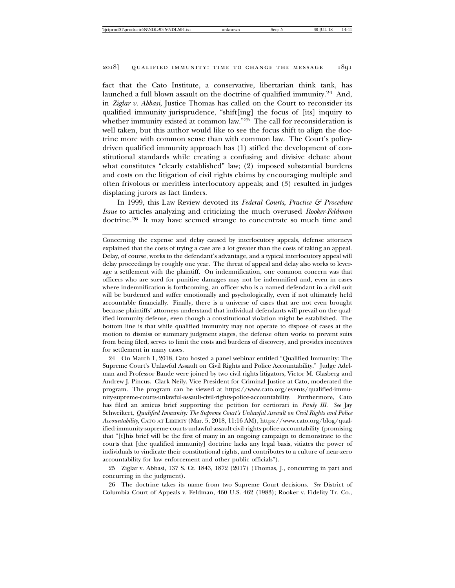fact that the Cato Institute, a conservative, libertarian think tank, has launched a full blown assault on the doctrine of qualified immunity.24 And, in *Ziglar v. Abbasi*, Justice Thomas has called on the Court to reconsider its qualified immunity jurisprudence, "shift[ing] the focus of [its] inquiry to whether immunity existed at common law."<sup>25</sup> The call for reconsideration is well taken, but this author would like to see the focus shift to align the doctrine more with common sense than with common law. The Court's policydriven qualified immunity approach has (1) stifled the development of constitutional standards while creating a confusing and divisive debate about what constitutes "clearly established" law; (2) imposed substantial burdens and costs on the litigation of civil rights claims by encouraging multiple and often frivolous or meritless interlocutory appeals; and (3) resulted in judges displacing jurors as fact finders.

In 1999, this Law Review devoted its *Federal Courts, Practice & Procedure Issue* to articles analyzing and criticizing the much overused *Rooker*-*Feldman* doctrine.26 It may have seemed strange to concentrate so much time and

24 On March 1, 2018, Cato hosted a panel webinar entitled "Qualified Immunity: The Supreme Court's Unlawful Assault on Civil Rights and Police Accountability." Judge Adelman and Professor Baude were joined by two civil rights litigators, Victor M. Glasberg and Andrew J. Pincus. Clark Neily, Vice President for Criminal Justice at Cato, moderated the program. The program can be viewed at https://www.cato.org/events/qualified-immunity-supreme-courts-unlawful-assault-civil-rights-police-accountability. Furthermore, Cato has filed an amicus brief supporting the petition for certiorari in *Pauly III*. *See* Jay Schweikert, *Qualified Immunity: The Supreme Court's Unlawful Assault on Civil Rights and Police Accountability*, CATO AT LIBERTY (Mar. 5, 2018, 11:16 AM), https://www.cato.org/blog/qualified-immunity-supreme-courts-unlawful-assault-civil-rights-police-accountability (promising that "[t]his brief will be the first of many in an ongoing campaign to demonstrate to the courts that [the qualified immunity] doctrine lacks any legal basis, vitiates the power of individuals to vindicate their constitutional rights, and contributes to a culture of near-zero accountability for law enforcement and other public officials").

25 Ziglar v. Abbasi, 137 S. Ct. 1843, 1872 (2017) (Thomas, J., concurring in part and concurring in the judgment).

26 The doctrine takes its name from two Supreme Court decisions. *See* District of Columbia Court of Appeals v. Feldman, 460 U.S. 462 (1983); Rooker v. Fidelity Tr. Co.,

Concerning the expense and delay caused by interlocutory appeals, defense attorneys explained that the costs of trying a case are a lot greater than the costs of taking an appeal. Delay, of course, works to the defendant's advantage, and a typical interlocutory appeal will delay proceedings by roughly one year. The threat of appeal and delay also works to leverage a settlement with the plaintiff. On indemnification, one common concern was that officers who are sued for punitive damages may not be indemnified and, even in cases where indemnification is forthcoming, an officer who is a named defendant in a civil suit will be burdened and suffer emotionally and psychologically, even if not ultimately held accountable financially. Finally, there is a universe of cases that are not even brought because plaintiffs' attorneys understand that individual defendants will prevail on the qualified immunity defense, even though a constitutional violation might be established. The bottom line is that while qualified immunity may not operate to dispose of cases at the motion to dismiss or summary judgment stages, the defense often works to prevent suits from being filed, serves to limit the costs and burdens of discovery, and provides incentives for settlement in many cases.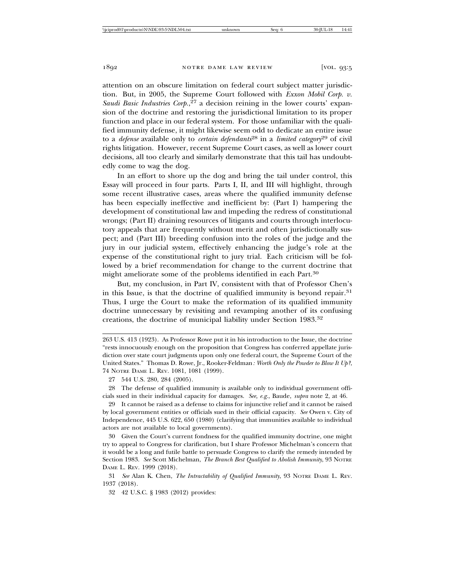attention on an obscure limitation on federal court subject matter jurisdiction. But, in 2005, the Supreme Court followed with *Exxon Mobil Corp. v.* Saudi Basic Industries Corp.,<sup>27</sup> a decision reining in the lower courts' expansion of the doctrine and restoring the jurisdictional limitation to its proper function and place in our federal system. For those unfamiliar with the qualified immunity defense, it might likewise seem odd to dedicate an entire issue to a *defense* available only to *certain defendants*28 in a *limited category*29 of civil rights litigation. However, recent Supreme Court cases, as well as lower court decisions, all too clearly and similarly demonstrate that this tail has undoubtedly come to wag the dog.

In an effort to shore up the dog and bring the tail under control, this Essay will proceed in four parts. Parts I, II, and III will highlight, through some recent illustrative cases, areas where the qualified immunity defense has been especially ineffective and inefficient by: (Part I) hampering the development of constitutional law and impeding the redress of constitutional wrongs; (Part II) draining resources of litigants and courts through interlocutory appeals that are frequently without merit and often jurisdictionally suspect; and (Part III) breeding confusion into the roles of the judge and the jury in our judicial system, effectively enhancing the judge's role at the expense of the constitutional right to jury trial. Each criticism will be followed by a brief recommendation for change to the current doctrine that might ameliorate some of the problems identified in each Part.30

But, my conclusion, in Part IV, consistent with that of Professor Chen's in this Issue, is that the doctrine of qualified immunity is beyond repair.31 Thus, I urge the Court to make the reformation of its qualified immunity doctrine unnecessary by revisiting and revamping another of its confusing creations, the doctrine of municipal liability under Section 1983.32

28 The defense of qualified immunity is available only to individual government officials sued in their individual capacity for damages. *See, e.g.*, Baude, *supra* note 2, at 46.

29 It cannot be raised as a defense to claims for injunctive relief and it cannot be raised by local government entities or officials sued in their official capacity. *See* Owen v. City of Independence, 445 U.S. 622, 650 (1980) (clarifying that immunities available to individual actors are not available to local governments).

30 Given the Court's current fondness for the qualified immunity doctrine, one might try to appeal to Congress for clarification, but I share Professor Michelman's concern that it would be a long and futile battle to persuade Congress to clarify the remedy intended by Section 1983. *See* Scott Michelman, *The Branch Best Qualified to Abolish Immunity*, 93 NOTRE DAME L. REV. 1999 (2018).

31 *See* Alan K. Chen, *The Intractability of Qualified Immunity*, 93 NOTRE DAME L. REV. 1937 (2018).

32 42 U.S.C. § 1983 (2012) provides:

<sup>263</sup> U.S. 413 (1923). As Professor Rowe put it in his introduction to the Issue, the doctrine "rests innocuously enough on the proposition that Congress has conferred appellate jurisdiction over state court judgments upon only one federal court, the Supreme Court of the United States." Thomas D. Rowe, Jr., Rooker-Feldman*: Worth Only the Powder to Blow It Up?*, 74 NOTRE DAME L. REV. 1081, 1081 (1999).

<sup>27 544</sup> U.S. 280, 284 (2005).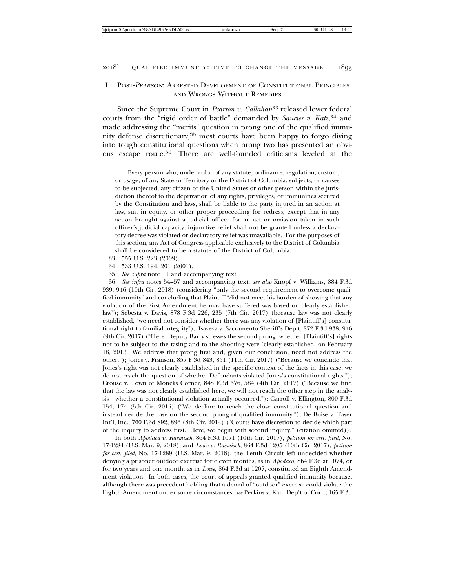#### I. POST-<sup>P</sup>EARSON: ARRESTED DEVELOPMENT OF CONSTITUTIONAL PRINCIPLES AND WRONGS WITHOUT REMEDIES

Since the Supreme Court in *Pearson v. Callahan*<sup>33</sup> released lower federal courts from the "rigid order of battle" demanded by *Saucier v. Katz*, <sup>34</sup> and made addressing the "merits" question in prong one of the qualified immunity defense discretionary,35 most courts have been happy to forgo diving into tough constitutional questions when prong two has presented an obvious escape route.36 There are well-founded criticisms leveled at the

Every person who, under color of any statute, ordinance, regulation, custom, or usage, of any State or Territory or the District of Columbia, subjects, or causes to be subjected, any citizen of the United States or other person within the jurisdiction thereof to the deprivation of any rights, privileges, or immunities secured by the Constitution and laws, shall be liable to the party injured in an action at law, suit in equity, or other proper proceeding for redress, except that in any action brought against a judicial officer for an act or omission taken in such officer's judicial capacity, injunctive relief shall not be granted unless a declaratory decree was violated or declaratory relief was unavailable. For the purposes of this section, any Act of Congress applicable exclusively to the District of Columbia shall be considered to be a statute of the District of Columbia.

- 33 555 U.S. 223 (2009).
- 34 533 U.S. 194, 201 (2001).
- 35 *See supra* note 11 and accompanying text.

36 *See infra* notes 54–57 and accompanying text; *see also* Knopf v. Williams, 884 F.3d 939, 946 (10th Cir. 2018) (considering "only the second requirement to overcome qualified immunity" and concluding that Plaintiff "did not meet his burden of showing that any violation of the First Amendment he may have suffered was based on clearly established law"); Sebesta v. Davis, 878 F.3d 226, 235 (7th Cir. 2017) (because law was not clearly established, "we need not consider whether there was any violation of [Plaintiff's] constitutional right to familial integrity"); Isayeva v. Sacramento Sheriff's Dep't, 872 F.3d 938, 946 (9th Cir. 2017) ("Here, Deputy Barry stresses the second prong, whether [Plaintiff's] rights not to be subject to the tasing and to the shooting were 'clearly established' on February 18, 2013. We address that prong first and, given our conclusion, need not address the other."); Jones v. Fransen, 857 F.3d 843, 851 (11th Cir. 2017) ("Because we conclude that Jones's right was not clearly established in the specific context of the facts in this case, we do not reach the question of whether Defendants violated Jones's constitutional rights."); Crouse v. Town of Moncks Corner, 848 F.3d 576, 584 (4th Cir. 2017) ("Because we find that the law was not clearly established here, we will not reach the other step in the analysis—whether a constitutional violation actually occurred."); Carroll v. Ellington, 800 F.3d 154, 174 (5th Cir. 2015) ("We decline to reach the close constitutional question and instead decide the case on the second prong of qualified immunity."); De Boise v. Taser Int'l, Inc., 760 F.3d 892, 896 (8th Cir. 2014) ("Courts have discretion to decide which part of the inquiry to address first. Here, we begin with second inquiry." (citation omitted)).

In both *Apodaca v. Raemisch*, 864 F.3d 1071 (10th Cir. 2017), *petition for cert. filed*, No. 17-1284 (U.S. Mar. 9, 2018), and *Lowe v. Raemisch*, 864 F.3d 1205 (10th Cir. 2017), *petition for cert. filed*, No. 17-1289 (U.S. Mar. 9, 2018), the Tenth Circuit left undecided whether denying a prisoner outdoor exercise for eleven months, as in *Apodaca*, 864 F.3d at 1074, or for two years and one month, as in *Lowe*, 864 F.3d at 1207, constituted an Eighth Amendment violation. In both cases, the court of appeals granted qualified immunity because, although there was precedent holding that a denial of "outdoor" exercise could violate the Eighth Amendment under some circumstances, *see* Perkins v. Kan. Dep't of Corr., 165 F.3d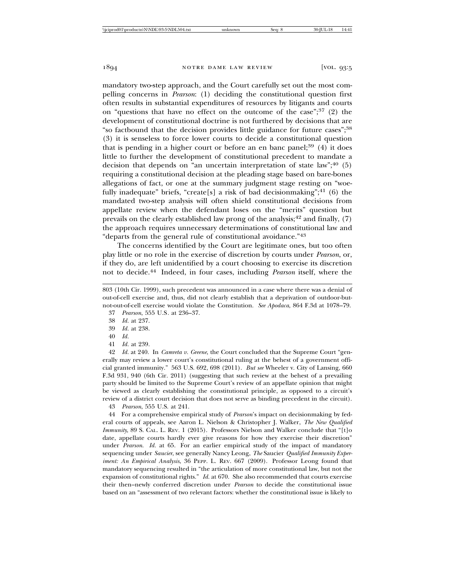mandatory two-step approach, and the Court carefully set out the most compelling concerns in *Pearson*: (1) deciding the constitutional question first often results in substantial expenditures of resources by litigants and courts on "questions that have no effect on the outcome of the case"; $37$  (2) the development of constitutional doctrine is not furthered by decisions that are "so factbound that the decision provides little guidance for future cases";38 (3) it is senseless to force lower courts to decide a constitutional question that is pending in a higher court or before an en banc panel; $39$  (4) it does little to further the development of constitutional precedent to mandate a decision that depends on "an uncertain interpretation of state law"; $40(5)$ requiring a constitutional decision at the pleading stage based on bare-bones allegations of fact, or one at the summary judgment stage resting on "woefully inadequate" briefs, "create[s] a risk of bad decisionmaking"; $41$  (6) the mandated two-step analysis will often shield constitutional decisions from appellate review when the defendant loses on the "merits" question but prevails on the clearly established law prong of the analysis;<sup>42</sup> and finally,  $(7)$ the approach requires unnecessary determinations of constitutional law and "departs from the general rule of constitutional avoidance."43

The concerns identified by the Court are legitimate ones, but too often play little or no role in the exercise of discretion by courts under *Pearson*, or, if they do, are left unidentified by a court choosing to exercise its discretion not to decide.44 Indeed, in four cases, including *Pearson* itself, where the

38 *Id.* at 237.

- 39 *Id.* at 238.
- 40 *Id.*
- 41 *Id.* at 239.

42 *Id.* at 240. In *Camreta v. Greene*, the Court concluded that the Supreme Court "generally may review a lower court's constitutional ruling at the behest of a government official granted immunity." 563 U.S. 692, 698 (2011). *But see* Wheeler v. City of Lansing, 660 F.3d 931, 940 (6th Cir. 2011) (suggesting that such review at the behest of a prevailing party should be limited to the Supreme Court's review of an appellate opinion that might be viewed as clearly establishing the constitutional principle, as opposed to a circuit's review of a district court decision that does not serve as binding precedent in the circuit).

43 *Pearson*, 555 U.S. at 241.

44 For a comprehensive empirical study of *Pearson*'s impact on decisionmaking by federal courts of appeals, see Aaron L. Nielson & Christopher J. Walker, *The New Qualified Immunity*, 89 S. CAL. L. REV. 1 (2015). Professors Nielson and Walker conclude that "[t]o date, appellate courts hardly ever give reasons for how they exercise their discretion" under *Pearson*. *Id.* at 65. For an earlier empirical study of the impact of mandatory sequencing under *Saucier*, see generally Nancy Leong, *The* Saucier *Qualified Immunity Experiment: An Empirical Analysis*, 36 PEPP. L. REV. 667 (2009). Professor Leong found that mandatory sequencing resulted in "the articulation of more constitutional law, but not the expansion of constitutional rights." *Id.* at 670. She also recommended that courts exercise their then–newly conferred discretion under *Pearson* to decide the constitutional issue based on an "assessment of two relevant factors: whether the constitutional issue is likely to

<sup>803 (10</sup>th Cir. 1999), such precedent was announced in a case where there was a denial of out-of-cell exercise and, thus, did not clearly establish that a deprivation of outdoor-butnot-out-of-cell exercise would violate the Constitution. *See Apodaca*, 864 F.3d at 1078–79.

<sup>37</sup> *Pearson*, 555 U.S*.* at 236–37.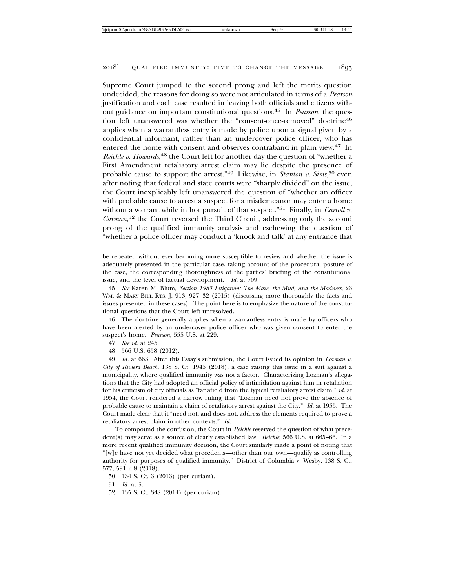Supreme Court jumped to the second prong and left the merits question undecided, the reasons for doing so were not articulated in terms of a *Pearson* justification and each case resulted in leaving both officials and citizens without guidance on important constitutional questions.45 In *Pearson*, the question left unanswered was whether the "consent-once-removed" doctrine<sup>46</sup> applies when a warrantless entry is made by police upon a signal given by a confidential informant, rather than an undercover police officer, who has entered the home with consent and observes contraband in plain view.47 In Reichle v. Howards,<sup>48</sup> the Court left for another day the question of "whether a First Amendment retaliatory arrest claim may lie despite the presence of probable cause to support the arrest."49 Likewise, in *Stanton v. Sims*, 50 even after noting that federal and state courts were "sharply divided" on the issue, the Court inexplicably left unanswered the question of "whether an officer with probable cause to arrest a suspect for a misdemeanor may enter a home without a warrant while in hot pursuit of that suspect."<sup>51</sup> Finally, in *Carroll v*. *Carman*, 52 the Court reversed the Third Circuit, addressing only the second prong of the qualified immunity analysis and eschewing the question of "whether a police officer may conduct a 'knock and talk' at any entrance that

46 The doctrine generally applies when a warrantless entry is made by officers who have been alerted by an undercover police officer who was given consent to enter the suspect's home. *Pearson*, 555 U.S. at 229.

49 *Id.* at 663. After this Essay's submission, the Court issued its opinion in *Lozman v. City of Riviera Beach*, 138 S. Ct. 1945 (2018), a case raising this issue in a suit against a municipality, where qualified immunity was not a factor. Characterizing Lozman's allegations that the City had adopted an official policy of intimidation against him in retaliation for his criticism of city officials as "far afield from the typical retaliatory arrest claim," *id.* at 1954, the Court rendered a narrow ruling that "Lozman need not prove the absence of probable cause to maintain a claim of retaliatory arrest against the City." *Id.* at 1955. The Court made clear that it "need not, and does not, address the elements required to prove a retaliatory arrest claim in other contexts." *Id.*

To compound the confusion, the Court in *Reichle* reserved the question of what precedent(s) may serve as a source of clearly established law. *Reichle*, 566 U.S. at 665–66. In a more recent qualified immunity decision, the Court similarly made a point of noting that "[w]e have not yet decided what precedents—other than our own—qualify as controlling authority for purposes of qualified immunity." District of Columbia v. Wesby, 138 S. Ct. 577, 591 n.8 (2018).

50 134 S. Ct. 3 (2013) (per curiam).

52 135 S. Ct. 348 (2014) (per curiam).

be repeated without ever becoming more susceptible to review and whether the issue is adequately presented in the particular case, taking account of the procedural posture of the case, the corresponding thoroughness of the parties' briefing of the constitutional issue, and the level of factual development." *Id.* at 709.

<sup>45</sup> *See* Karen M. Blum, *Section 1983 Litigation: The Maze, the Mud, and the Madness*, 23 WM. & MARY BILL RTS. J. 913, 927–32 (2015) (discussing more thoroughly the facts and issues presented in these cases). The point here is to emphasize the nature of the constitutional questions that the Court left unresolved.

<sup>47</sup> *See id.* at 245.

<sup>48 566</sup> U.S. 658 (2012).

<sup>51</sup> *Id.* at 5.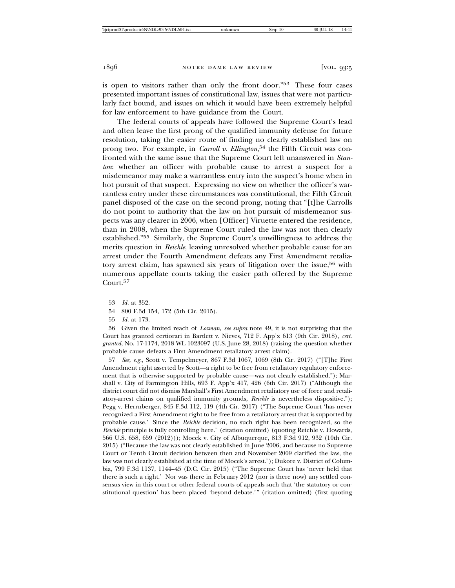is open to visitors rather than only the front door."53 These four cases presented important issues of constitutional law, issues that were not particularly fact bound, and issues on which it would have been extremely helpful for law enforcement to have guidance from the Court.

The federal courts of appeals have followed the Supreme Court's lead and often leave the first prong of the qualified immunity defense for future resolution, taking the easier route of finding no clearly established law on prong two. For example, in *Carroll v. Ellington*, 54 the Fifth Circuit was confronted with the same issue that the Supreme Court left unanswered in *Stanton*: whether an officer with probable cause to arrest a suspect for a misdemeanor may make a warrantless entry into the suspect's home when in hot pursuit of that suspect. Expressing no view on whether the officer's warrantless entry under these circumstances was constitutional, the Fifth Circuit panel disposed of the case on the second prong, noting that "[t]he Carrolls do not point to authority that the law on hot pursuit of misdemeanor suspects was any clearer in 2006, when [Officer] Viruette entered the residence, than in 2008, when the Supreme Court ruled the law was not then clearly established."55 Similarly, the Supreme Court's unwillingness to address the merits question in *Reichle*, leaving unresolved whether probable cause for an arrest under the Fourth Amendment defeats any First Amendment retaliatory arrest claim, has spawned six years of litigation over the issue,<sup>56</sup> with numerous appellate courts taking the easier path offered by the Supreme Court.<sup>57</sup>

56 Given the limited reach of *Lozman*, *see supra* note 49, it is not surprising that the Court has granted certiorari in Bartlett v. Nieves, 712 F. App'x 613 (9th Cir. 2018), *cert. granted*, No. 17-1174, 2018 WL 1023097 (U.S. June 28, 2018) (raising the question whether probable cause defeats a First Amendment retaliatory arrest claim).

57 *See, e.g.*, Scott v. Tempelmeyer, 867 F.3d 1067, 1069 (8th Cir. 2017) ("[T]he First Amendment right asserted by Scott—a right to be free from retaliatory regulatory enforcement that is otherwise supported by probable cause—was not clearly established."); Marshall v. City of Farmington Hills, 693 F. App'x 417, 426 (6th Cir. 2017) ("Although the district court did not dismiss Marshall's First Amendment retaliatory use of force and retaliatory-arrest claims on qualified immunity grounds, *Reichle* is nevertheless dispositive."); Pegg v. Herrnberger, 845 F.3d 112, 119 (4th Cir. 2017) ("The Supreme Court 'has never recognized a First Amendment right to be free from a retaliatory arrest that is supported by probable cause.' Since the *Reichle* decision, no such right has been recognized, so the *Reichle* principle is fully controlling here." (citation omitted) (quoting Reichle v. Howards, 566 U.S. 658, 659 (2012))); Mocek v. City of Albuquerque, 813 F.3d 912, 932 (10th Cir. 2015) ("Because the law was not clearly established in June 2006, and because no Supreme Court or Tenth Circuit decision between then and November 2009 clarified the law, the law was not clearly established at the time of Mocek's arrest."); Dukore v. District of Columbia, 799 F.3d 1137, 1144–45 (D.C. Cir. 2015) ("The Supreme Court has 'never held that there is such a right.' Nor was there in February 2012 (nor is there now) any settled consensus view in this court or other federal courts of appeals such that 'the statutory or constitutional question' has been placed 'beyond debate.'" (citation omitted) (first quoting

<sup>53</sup> *Id.* at 352.

<sup>54 800</sup> F.3d 154, 172 (5th Cir. 2015).

<sup>55</sup> *Id.* at 173.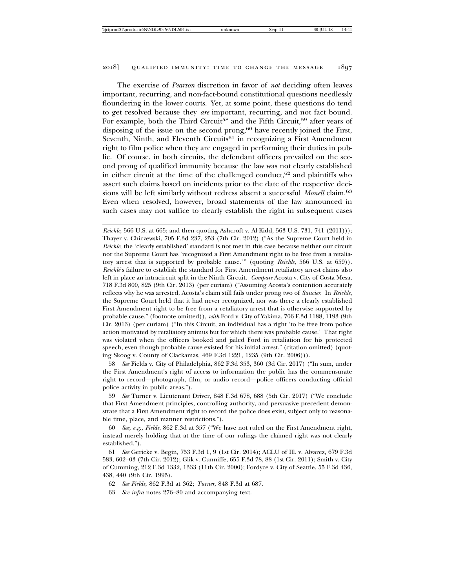The exercise of *Pearson* discretion in favor of *not* deciding often leaves important, recurring, and non-fact-bound constitutional questions needlessly floundering in the lower courts. Yet, at some point, these questions do tend to get resolved because they *are* important, recurring, and not fact bound. For example, both the Third Circuit<sup>58</sup> and the Fifth Circuit,<sup>59</sup> after years of disposing of the issue on the second prong, $60$  have recently joined the First, Seventh, Ninth, and Eleventh Circuits<sup>61</sup> in recognizing a First Amendment right to film police when they are engaged in performing their duties in public. Of course, in both circuits, the defendant officers prevailed on the second prong of qualified immunity because the law was not clearly established in either circuit at the time of the challenged conduct, $62$  and plaintiffs who assert such claims based on incidents prior to the date of the respective decisions will be left similarly without redress absent a successful *Monell* claim.<sup>63</sup> Even when resolved, however, broad statements of the law announced in such cases may not suffice to clearly establish the right in subsequent cases

*Reichle*, 566 U.S. at 665; and then quoting Ashcroft v. Al-Kidd, 563 U.S. 731, 741 (2011))); Thayer v. Chiczewski, 705 F.3d 237, 253 (7th Cir. 2012) ("As the Supreme Court held in *Reichle,* the 'clearly established' standard is not met in this case because neither our circuit nor the Supreme Court has 'recognized a First Amendment right to be free from a retaliatory arrest that is supported by probable cause.'" (quoting *Reichle*, 566 U.S. at 659)). *Reichle*'s failure to establish the standard for First Amendment retaliatory arrest claims also left in place an intracircuit split in the Ninth Circuit. *Compare* Acosta v. City of Costa Mesa, 718 F.3d 800, 825 (9th Cir. 2013) (per curiam) ("Assuming Acosta's contention accurately reflects why he was arrested, Acosta's claim still fails under prong two of *Saucier*. In *Reichle*, the Supreme Court held that it had never recognized, nor was there a clearly established First Amendment right to be free from a retaliatory arrest that is otherwise supported by probable cause." (footnote omitted)), *with* Ford v. City of Yakima, 706 F.3d 1188, 1193 (9th Cir. 2013) (per curiam) ("In this Circuit, an individual has a right 'to be free from police action motivated by retaliatory animus but for which there was probable cause.' That right was violated when the officers booked and jailed Ford in retaliation for his protected speech, even though probable cause existed for his initial arrest." (citation omitted) (quoting Skoog v. County of Clackamas, 469 F.3d 1221, 1235 (9th Cir. 2006))).

58 *See* Fields v. City of Philadelphia, 862 F.3d 353, 360 (3d Cir. 2017) ("In sum, under the First Amendment's right of access to information the public has the commensurate right to record—photograph, film, or audio record—police officers conducting official police activity in public areas.").

59 *See* Turner v. Lieutenant Driver, 848 F.3d 678, 688 (5th Cir. 2017) ("We conclude that First Amendment principles, controlling authority, and persuasive precedent demonstrate that a First Amendment right to record the police does exist, subject only to reasonable time, place, and manner restrictions.").

60 *See, e.g.*, *Fields*, 862 F.3d at 357 ("We have not ruled on the First Amendment right, instead merely holding that at the time of our rulings the claimed right was not clearly established.").

61 *See* Gericke v. Begin, 753 F.3d 1, 9 (1st Cir. 2014); ACLU of Ill. v. Alvarez, 679 F.3d 583, 602–03 (7th Cir. 2012); Glik v. Cunniffe, 655 F.3d 78, 88 (1st Cir. 2011); Smith v. City of Cumming, 212 F.3d 1332, 1333 (11th Cir. 2000); Fordyce v. City of Seattle, 55 F.3d 436, 438, 440 (9th Cir. 1995).

63 *See infra* notes 276–80 and accompanying text.

<sup>62</sup> *See Fields*, 862 F.3d at 362; *Turner*, 848 F.3d at 687.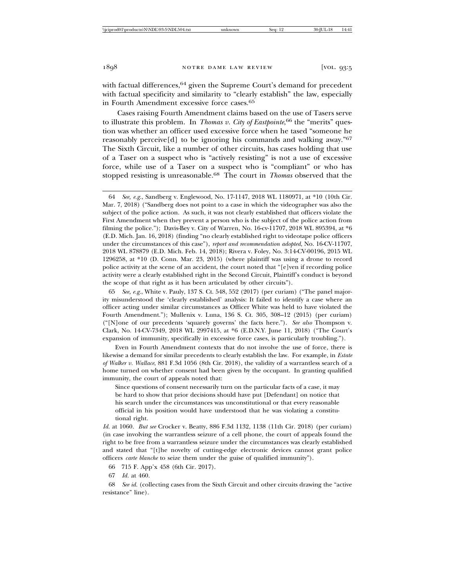with factual differences,  $64$  given the Supreme Court's demand for precedent with factual specificity and similarity to "clearly establish" the law, especially in Fourth Amendment excessive force cases.65

Cases raising Fourth Amendment claims based on the use of Tasers serve to illustrate this problem. In *Thomas v. City of Eastpointe*, 66 the "merits" question was whether an officer used excessive force when he tased "someone he reasonably perceive<sup>[d]</sup> to be ignoring his commands and walking away."<sup>67</sup> The Sixth Circuit, like a number of other circuits, has cases holding that use of a Taser on a suspect who is "actively resisting" is not a use of excessive force, while use of a Taser on a suspect who is "compliant" or who has stopped resisting is unreasonable.68 The court in *Thomas* observed that the

64 *See, e.g.*, Sandberg v. Englewood, No. 17-1147, 2018 WL 1180971, at \*10 (10th Cir. Mar. 7, 2018) ("Sandberg does not point to a case in which the videographer was also the subject of the police action. As such, it was not clearly established that officers violate the First Amendment when they prevent a person who is the subject of the police action from filming the police."); Davis-Bey v. City of Warren, No. 16-cv-11707, 2018 WL 895394, at \*6 (E.D. Mich. Jan. 16, 2018) (finding "no clearly established right to videotape police officers under the circumstances of this case"), *report and recommendation adopted*, No. 16-CV-11707, 2018 WL 878879 (E.D. Mich. Feb. 14, 2018); Rivera v. Foley, No. 3:14-CV-00196, 2015 WL 1296258, at \*10 (D. Conn. Mar. 23, 2015) (where plaintiff was using a drone to record police activity at the scene of an accident, the court noted that "[e]ven if recording police activity were a clearly established right in the Second Circuit, Plaintiff's conduct is beyond the scope of that right as it has been articulated by other circuits").

65 *See, e.g.*, White v. Pauly, 137 S. Ct. 548, 552 (2017) (per curiam) ("The panel majority misunderstood the 'clearly established' analysis: It failed to identify a case where an officer acting under similar circumstances as Officer White was held to have violated the Fourth Amendment."); Mullenix v. Luna, 136 S. Ct. 305, 308–12 (2015) (per curiam) ("[N]one of our precedents 'squarely governs' the facts here."). *See also* Thompson v. Clark, No. 14-CV-7349, 2018 WL 2997415, at \*6 (E.D.N.Y. June 11, 2018) ("The Court's expansion of immunity, specifically in excessive force cases, is particularly troubling.").

Even in Fourth Amendment contexts that do not involve the use of force, there is likewise a demand for similar precedents to clearly establish the law. For example, in *Estate of Walker v. Wallace*, 881 F.3d 1056 (8th Cir. 2018), the validity of a warrantless search of a home turned on whether consent had been given by the occupant. In granting qualified immunity, the court of appeals noted that:

Since questions of consent necessarily turn on the particular facts of a case, it may be hard to show that prior decisions should have put [Defendant] on notice that his search under the circumstances was unconstitutional or that every reasonable official in his position would have understood that he was violating a constitutional right.

*Id.* at 1060. *But see* Crocker v. Beatty, 886 F.3d 1132, 1138 (11th Cir. 2018) (per curiam) (in case involving the warrantless seizure of a cell phone, the court of appeals found the right to be free from a warrantless seizure under the circumstances was clearly established and stated that "[t]he novelty of cutting-edge electronic devices cannot grant police officers *carte blanche* to seize them under the guise of qualified immunity").

66 715 F. App'x 458 (6th Cir. 2017).

67 *Id.* at 460.

68 *See id.* (collecting cases from the Sixth Circuit and other circuits drawing the "active resistance" line).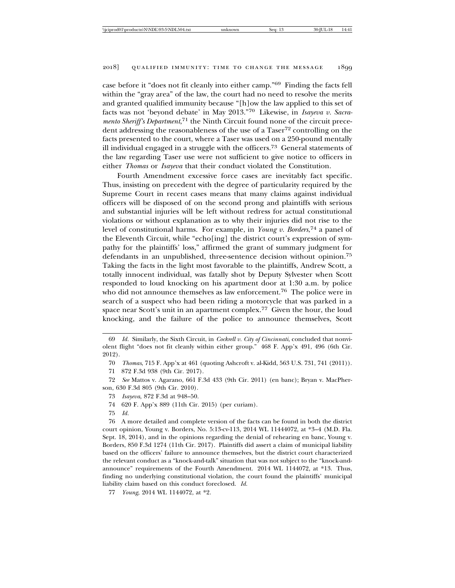case before it "does not fit cleanly into either camp."69 Finding the facts fell within the "gray area" of the law, the court had no need to resolve the merits and granted qualified immunity because "[h]ow the law applied to this set of facts was not 'beyond debate' in May 2013."70 Likewise, in *Isayeva v. Sacramento Sheriff's Department*, 71 the Ninth Circuit found none of the circuit precedent addressing the reasonableness of the use of a Taser<sup>72</sup> controlling on the facts presented to the court, where a Taser was used on a 250-pound mentally ill individual engaged in a struggle with the officers.73 General statements of the law regarding Taser use were not sufficient to give notice to officers in either *Thomas* or *Isayeva* that their conduct violated the Constitution.

Fourth Amendment excessive force cases are inevitably fact specific. Thus, insisting on precedent with the degree of particularity required by the Supreme Court in recent cases means that many claims against individual officers will be disposed of on the second prong and plaintiffs with serious and substantial injuries will be left without redress for actual constitutional violations or without explanation as to why their injuries did not rise to the level of constitutional harms. For example, in *Young v. Borders*, 74 a panel of the Eleventh Circuit, while "echo[ing] the district court's expression of sympathy for the plaintiffs' loss," affirmed the grant of summary judgment for defendants in an unpublished, three-sentence decision without opinion.75 Taking the facts in the light most favorable to the plaintiffs, Andrew Scott, a totally innocent individual, was fatally shot by Deputy Sylvester when Scott responded to loud knocking on his apartment door at 1:30 a.m. by police who did not announce themselves as law enforcement.<sup>76</sup> The police were in search of a suspect who had been riding a motorcycle that was parked in a space near Scott's unit in an apartment complex.77 Given the hour, the loud knocking, and the failure of the police to announce themselves, Scott

70 *Thomas*, 715 F. App'x at 461 (quoting Ashcroft v. al-Kidd, 563 U.S. 731, 741 (2011)).

71 872 F.3d 938 (9th Cir. 2017).

72 *See* Mattos v. Agarano, 661 F.3d 433 (9th Cir. 2011) (en banc); Bryan v. MacPherson, 630 F.3d 805 (9th Cir. 2010).

73 *Isayeva*, 872 F.3d at 948–50.

74 620 F. App'x 889 (11th Cir. 2015) (per curiam).

75 *Id.*

76 A more detailed and complete version of the facts can be found in both the district court opinion, Young v. Borders, No. 5:13-cv-113, 2014 WL 11444072, at \*3–4 (M.D. Fla. Sept. 18, 2014), and in the opinions regarding the denial of rehearing en banc, Young v. Borders, 850 F.3d 1274 (11th Cir. 2017). Plaintiffs did assert a claim of municipal liability based on the officers' failure to announce themselves, but the district court characterized the relevant conduct as a "knock-and-talk" situation that was not subject to the "knock-andannounce" requirements of the Fourth Amendment. 2014 WL 1144072, at \*13. Thus, finding no underlying constitutional violation, the court found the plaintiffs' municipal liability claim based on this conduct foreclosed. *Id.*

77 *Young*, 2014 WL 1144072, at \*2.

<sup>69</sup> *Id.* Similarly, the Sixth Circuit, in *Cockrell v. City of Cincinnati*, concluded that nonviolent flight "does not fit cleanly within either group." 468 F. App'x 491, 496 (6th Cir. 2012).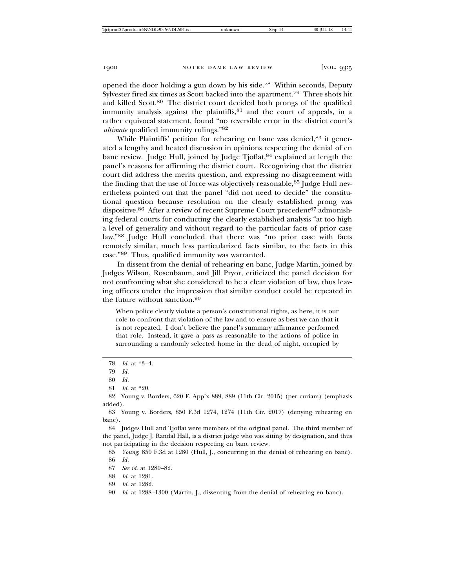opened the door holding a gun down by his side.78 Within seconds, Deputy Sylvester fired six times as Scott backed into the apartment.79 Three shots hit and killed Scott.80 The district court decided both prongs of the qualified immunity analysis against the plaintiffs, 81 and the court of appeals, in a rather equivocal statement, found "no reversible error in the district court's *ultimate* qualified immunity rulings."82

While Plaintiffs' petition for rehearing en banc was denied,<sup>83</sup> it generated a lengthy and heated discussion in opinions respecting the denial of en banc review. Judge Hull, joined by Judge Tjoflat, <sup>84</sup> explained at length the panel's reasons for affirming the district court. Recognizing that the district court did address the merits question, and expressing no disagreement with the finding that the use of force was objectively reasonable,<sup>85</sup> Judge Hull nevertheless pointed out that the panel "did not need to decide" the constitutional question because resolution on the clearly established prong was dispositive.<sup>86</sup> After a review of recent Supreme Court precedent<sup>87</sup> admonishing federal courts for conducting the clearly established analysis "at too high a level of generality and without regard to the particular facts of prior case law,"88 Judge Hull concluded that there was "no prior case with facts remotely similar, much less particularized facts similar, to the facts in this case."89 Thus, qualified immunity was warranted.

In dissent from the denial of rehearing en banc, Judge Martin, joined by Judges Wilson, Rosenbaum, and Jill Pryor, criticized the panel decision for not confronting what she considered to be a clear violation of law, thus leaving officers under the impression that similar conduct could be repeated in the future without sanction.<sup>90</sup>

When police clearly violate a person's constitutional rights, as here, it is our role to confront that violation of the law and to ensure as best we can that it is not repeated. I don't believe the panel's summary affirmance performed that role. Instead, it gave a pass as reasonable to the actions of police in surrounding a randomly selected home in the dead of night, occupied by

- 87 *See id.* at 1280–82.
- 88 *Id.* at 1281.
- 89 *Id.* at 1282.

<sup>78</sup> *Id.* at \*3–4.

<sup>79</sup> *Id.*

<sup>80</sup> *Id.*

<sup>81</sup> *Id.* at \*20.

<sup>82</sup> Young v. Borders, 620 F. App'x 889, 889 (11th Cir. 2015) (per curiam) (emphasis added).

<sup>83</sup> Young v. Borders, 850 F.3d 1274, 1274 (11th Cir. 2017) (denying rehearing en banc).

<sup>84</sup> Judges Hull and Tjoflat were members of the original panel. The third member of the panel, Judge J. Randal Hall, is a district judge who was sitting by designation, and thus not participating in the decision respecting en banc review.

<sup>85</sup> *Young*, 850 F.3d at 1280 (Hull, J., concurring in the denial of rehearing en banc). 86 *Id.*

<sup>90</sup> *Id.* at 1288–1300 (Martin, J., dissenting from the denial of rehearing en banc).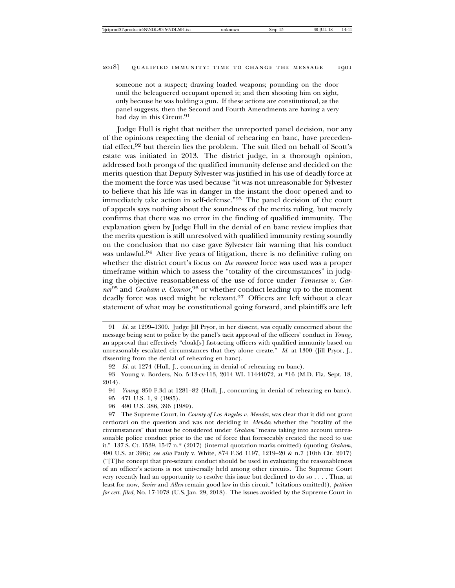someone not a suspect; drawing loaded weapons; pounding on the door until the beleaguered occupant opened it; and then shooting him on sight, only because he was holding a gun. If these actions are constitutional, as the panel suggests, then the Second and Fourth Amendments are having a very bad day in this Circuit.<sup>91</sup>

Judge Hull is right that neither the unreported panel decision, nor any of the opinions respecting the denial of rehearing en banc, have precedential effect,92 but therein lies the problem. The suit filed on behalf of Scott's estate was initiated in 2013. The district judge, in a thorough opinion, addressed both prongs of the qualified immunity defense and decided on the merits question that Deputy Sylvester was justified in his use of deadly force at the moment the force was used because "it was not unreasonable for Sylvester to believe that his life was in danger in the instant the door opened and to immediately take action in self-defense."93 The panel decision of the court of appeals says nothing about the soundness of the merits ruling, but merely confirms that there was no error in the finding of qualified immunity. The explanation given by Judge Hull in the denial of en banc review implies that the merits question is still unresolved with qualified immunity resting soundly on the conclusion that no case gave Sylvester fair warning that his conduct was unlawful.<sup>94</sup> After five years of litigation, there is no definitive ruling on whether the district court's focus on *the moment* force was used was a proper timeframe within which to assess the "totality of the circumstances" in judging the objective reasonableness of the use of force under *Tennessee v. Garner*95 and *Graham v. Connor*, 96 or whether conduct leading up to the moment deadly force was used might be relevant.<sup>97</sup> Officers are left without a clear statement of what may be constitutional going forward, and plaintiffs are left

<sup>91</sup> *Id.* at 1299–1300. Judge Jill Pryor, in her dissent, was equally concerned about the message being sent to police by the panel's tacit approval of the officers' conduct in *Young*, an approval that effectively "cloak[s] fast-acting officers with qualified immunity based on unreasonably escalated circumstances that they alone create." *Id.* at 1300 (Jill Pryor, J., dissenting from the denial of rehearing en banc).

<sup>92</sup> *Id.* at 1274 (Hull, J., concurring in denial of rehearing en banc).

<sup>93</sup> Young v. Borders, No. 5:13-cv-113, 2014 WL 11444072, at \*16 (M.D. Fla. Sept. 18, 2014).

<sup>94</sup> *Young*, 850 F.3d at 1281–82 (Hull, J., concurring in denial of rehearing en banc).

<sup>95 471</sup> U.S. 1, 9 (1985).

<sup>96 490</sup> U.S. 386, 396 (1989).

<sup>97</sup> The Supreme Court, in *County of Los Angeles v. Mendez*, was clear that it did not grant certiorari on the question and was not deciding in *Mendez* whether the "totality of the circumstances" that must be considered under *Graham* "means taking into account unreasonable police conduct prior to the use of force that foreseeably created the need to use it." 137 S. Ct. 1539, 1547 n.\* (2017) (internal quotation marks omitted) (quoting *Graham*, 490 U.S. at 396); *see also* Pauly v. White, 874 F.3d 1197, 1219–20 & n.7 (10th Cir. 2017) ("[T]he concept that pre-seizure conduct should be used in evaluating the reasonableness of an officer's actions is not universally held among other circuits. The Supreme Court very recently had an opportunity to resolve this issue but declined to do so . . . . Thus, at least for now, *Sevier* and *Allen* remain good law in this circuit." (citations omitted)), *petition for cert. filed*, No. 17-1078 (U.S. Jan. 29, 2018). The issues avoided by the Supreme Court in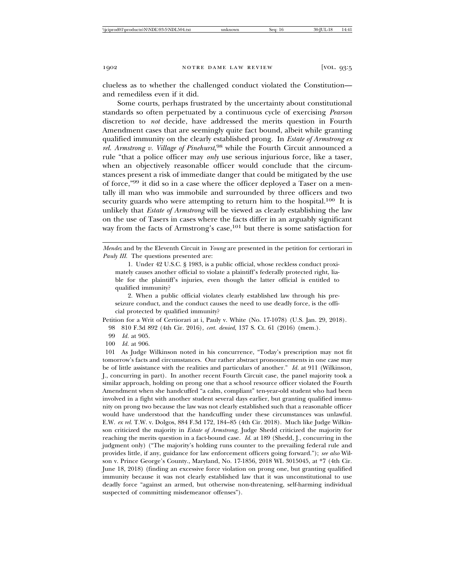clueless as to whether the challenged conduct violated the Constitution and remediless even if it did.

Some courts, perhaps frustrated by the uncertainty about constitutional standards so often perpetuated by a continuous cycle of exercising *Pearson* discretion to *not* decide, have addressed the merits question in Fourth Amendment cases that are seemingly quite fact bound, albeit while granting qualified immunity on the clearly established prong. In *Estate of Armstrong ex rel. Armstrong v. Village of Pinehurst*, 98 while the Fourth Circuit announced a rule "that a police officer may *only* use serious injurious force, like a taser, when an objectively reasonable officer would conclude that the circumstances present a risk of immediate danger that could be mitigated by the use of force,"<sup>99</sup> it did so in a case where the officer deployed a Taser on a mentally ill man who was immobile and surrounded by three officers and two security guards who were attempting to return him to the hospital.<sup>100</sup> It is unlikely that *Estate of Armstrong* will be viewed as clearly establishing the law on the use of Tasers in cases where the facts differ in an arguably significant way from the facts of Armstrong's case,<sup>101</sup> but there is some satisfaction for

1. Under 42 U.S.C. § 1983, is a public official, whose reckless conduct proximately causes another official to violate a plaintiff's federally protected right, liable for the plaintiff's injuries, even though the latter official is entitled to qualified immunity?

2. When a public official violates clearly established law through his preseizure conduct, and the conduct causes the need to use deadly force, is the official protected by qualified immunity?

Petition for a Writ of Certiorari at i, Pauly v. White (No. 17-1078) (U.S. Jan. 29, 2018). 98 810 F.3d 892 (4th Cir. 2016), *cert. denied*, 137 S. Ct. 61 (2016) (mem.).

- 99 *Id.* at 905.
- 100 *Id.* at 906.

101 As Judge Wilkinson noted in his concurrence, "Today's prescription may not fit tomorrow's facts and circumstances. Our rather abstract pronouncements in one case may be of little assistance with the realities and particulars of another." *Id.* at 911 (Wilkinson, J., concurring in part). In another recent Fourth Circuit case, the panel majority took a similar approach, holding on prong one that a school resource officer violated the Fourth Amendment when she handcuffed "a calm, compliant" ten-year-old student who had been involved in a fight with another student several days earlier, but granting qualified immunity on prong two because the law was not clearly established such that a reasonable officer would have understood that the handcuffing under these circumstances was unlawful. E.W. *ex rel.* T.W. v. Dolgos, 884 F.3d 172, 184–85 (4th Cir. 2018). Much like Judge Wilkinson criticized the majority in *Estate of Armstrong*, Judge Shedd criticized the majority for reaching the merits question in a fact-bound case. *Id.* at 189 (Shedd, J., concurring in the judgment only) ("The majority's holding runs counter to the prevailing federal rule and provides little, if any, guidance for law enforcement officers going forward."); *see also* Wilson v. Prince George's County., Maryland, No. 17-1856, 2018 WL 3015045, at \*7 (4th Cir. June 18, 2018) (finding an excessive force violation on prong one, but granting qualified immunity because it was not clearly established law that it was unconstitutional to use deadly force "against an armed, but otherwise non-threatening, self-harming individual suspected of committing misdemeanor offenses").

*Mendez* and by the Eleventh Circuit in *Young* are presented in the petition for certiorari in *Pauly III*. The questions presented are: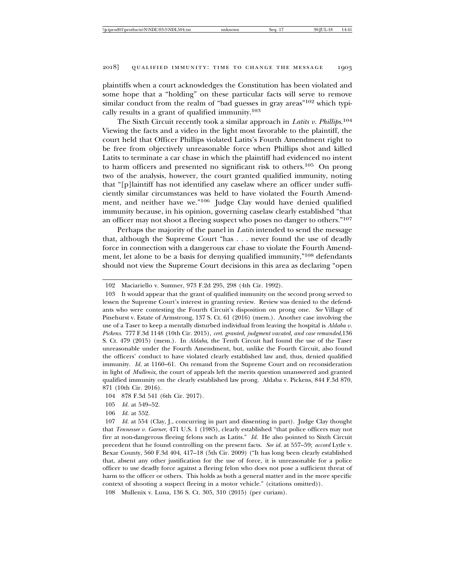plaintiffs when a court acknowledges the Constitution has been violated and some hope that a "holding" on these particular facts will serve to remove similar conduct from the realm of "bad guesses in gray areas"<sup>102</sup> which typically results in a grant of qualified immunity.103

The Sixth Circuit recently took a similar approach in *Latits v. Phillips*. 104 Viewing the facts and a video in the light most favorable to the plaintiff, the court held that Officer Phillips violated Latits's Fourth Amendment right to be free from objectively unreasonable force when Phillips shot and killed Latits to terminate a car chase in which the plaintiff had evidenced no intent to harm officers and presented no significant risk to others.105 On prong two of the analysis, however, the court granted qualified immunity, noting that "[p]laintiff has not identified any caselaw where an officer under sufficiently similar circumstances was held to have violated the Fourth Amendment, and neither have we."106 Judge Clay would have denied qualified immunity because, in his opinion, governing caselaw clearly established "that an officer may not shoot a fleeing suspect who poses no danger to others."107

Perhaps the majority of the panel in *Latits* intended to send the message that, although the Supreme Court "has . . . never found the use of deadly force in connection with a dangerous car chase to violate the Fourth Amendment, let alone to be a basis for denying qualified immunity,"108 defendants should not view the Supreme Court decisions in this area as declaring "open

<sup>102</sup> Maciariello v. Sumner, 973 F.2d 295, 298 (4th Cir. 1992).

<sup>103</sup> It would appear that the grant of qualified immunity on the second prong served to lessen the Supreme Court's interest in granting review. Review was denied to the defendants who were contesting the Fourth Circuit's disposition on prong one. *See* Village of Pinehurst v. Estate of Armstrong, 137 S. Ct. 61 (2016) (mem.). Another case involving the use of a Taser to keep a mentally disturbed individual from leaving the hospital is *Aldaba v. Pickens*. 777 F.3d 1148 (10th Cir. 2015), *cert. granted, judgment vacated, and case remanded*,136 S. Ct. 479 (2015) (mem.). In *Aldaba*, the Tenth Circuit had found the use of the Taser unreasonable under the Fourth Amendment, but, unlike the Fourth Circuit, also found the officers' conduct to have violated clearly established law and, thus, denied qualified immunity. *Id.* at 1160–61. On remand from the Supreme Court and on reconsideration in light of *Mullenix*, the court of appeals left the merits question unanswered and granted qualified immunity on the clearly established law prong. Aldaba v. Pickens, 844 F.3d 870, 871 (10th Cir. 2016).

<sup>104 878</sup> F.3d 541 (6th Cir. 2017).

<sup>105</sup> *Id.* at 549–52.

<sup>106</sup> *Id.* at 552.

<sup>107</sup> *Id.* at 554 (Clay, J., concurring in part and dissenting in part). Judge Clay thought that *Tennessee v. Garner*, 471 U.S. 1 (1985), clearly established "that police officers may not fire at non-dangerous fleeing felons such as Latits." *Id.* He also pointed to Sixth Circuit precedent that he found controlling on the present facts. *See id.* at 557–59; *accord* Lytle v. Bexar County, 560 F.3d 404, 417–18 (5th Cir. 2009) ("It has long been clearly established that, absent any other justification for the use of force, it is unreasonable for a police officer to use deadly force against a fleeing felon who does not pose a sufficient threat of harm to the officer or others. This holds as both a general matter and in the more specific context of shooting a suspect fleeing in a motor vehicle." (citations omitted)).

<sup>108</sup> Mullenix v. Luna, 136 S. Ct. 305, 310 (2015) (per curiam).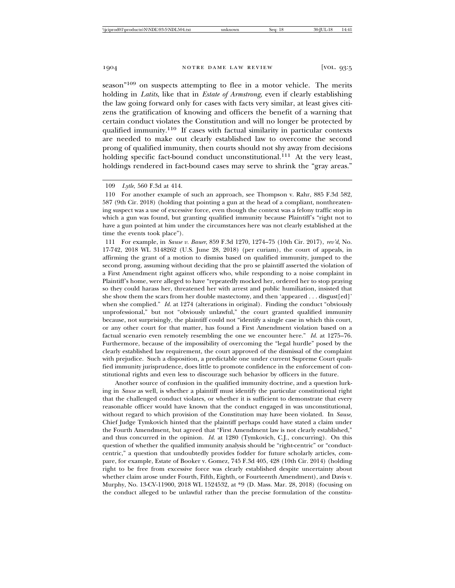season"109 on suspects attempting to flee in a motor vehicle. The merits holding in *Latits*, like that in *Estate of Armstrong*, even if clearly establishing the law going forward only for cases with facts very similar, at least gives citizens the gratification of knowing and officers the benefit of a warning that certain conduct violates the Constitution and will no longer be protected by qualified immunity.110 If cases with factual similarity in particular contexts are needed to make out clearly established law to overcome the second prong of qualified immunity, then courts should not shy away from decisions holding specific fact-bound conduct unconstitutional.<sup>111</sup> At the very least, holdings rendered in fact-bound cases may serve to shrink the "gray areas."

111 For example, in *Sause v. Bauer*, 859 F.3d 1270, 1274–75 (10th Cir. 2017), *rev'd*, No. 17-742, 2018 WL 3148262 (U.S. June 28, 2018) (per curiam), the court of appeals, in affirming the grant of a motion to dismiss based on qualified immunity, jumped to the second prong, assuming without deciding that the pro se plaintiff asserted the violation of a First Amendment right against officers who, while responding to a noise complaint in Plaintiff's home, were alleged to have "repeatedly mocked her, ordered her to stop praying so they could harass her, threatened her with arrest and public humiliation, insisted that she show them the scars from her double mastectomy, and then 'appeared . . . disgust[ed]' when she complied." *Id.* at 1274 (alterations in original). Finding the conduct "obviously unprofessional," but not "obviously unlawful," the court granted qualified immunity because, not surprisingly, the plaintiff could not "identify a single case in which this court, or any other court for that matter, has found a First Amendment violation based on a factual scenario even remotely resembling the one we encounter here." *Id.* at 1275–76. Furthermore, because of the impossibility of overcoming the "legal hurdle" posed by the clearly established law requirement, the court approved of the dismissal of the complaint with prejudice. Such a disposition, a predictable one under current Supreme Court qualified immunity jurisprudence, does little to promote confidence in the enforcement of constitutional rights and even less to discourage such behavior by officers in the future.

Another source of confusion in the qualified immunity doctrine, and a question lurking in *Sause* as well, is whether a plaintiff must identify the particular constitutional right that the challenged conduct violates, or whether it is sufficient to demonstrate that every reasonable officer would have known that the conduct engaged in was unconstitutional, without regard to which provision of the Constitution may have been violated. In *Sause*, Chief Judge Tymkovich hinted that the plaintiff perhaps could have stated a claim under the Fourth Amendment, but agreed that "First Amendment law is not clearly established," and thus concurred in the opinion. *Id.* at 1280 (Tymkovich, C.J., concurring). On this question of whether the qualified immunity analysis should be "right-centric" or "conductcentric," a question that undoubtedly provides fodder for future scholarly articles, compare, for example, Estate of Booker v. Gomez, 745 F.3d 405, 428 (10th Cir. 2014) (holding right to be free from excessive force was clearly established despite uncertainty about whether claim arose under Fourth, Fifth, Eighth, or Fourteenth Amendment), and Davis v. Murphy, No. 13-CV-11900, 2018 WL 1524532, at \*9 (D. Mass. Mar. 28, 2018) (focusing on the conduct alleged to be unlawful rather than the precise formulation of the constitu-

<sup>109</sup> *Lytle*, 560 F.3d at 414.

<sup>110</sup> For another example of such an approach, see Thompson v. Rahr, 885 F.3d 582, 587 (9th Cir. 2018) (holding that pointing a gun at the head of a compliant, nonthreatening suspect was a use of excessive force, even though the context was a felony traffic stop in which a gun was found, but granting qualified immunity because Plaintiff's "right not to have a gun pointed at him under the circumstances here was not clearly established at the time the events took place").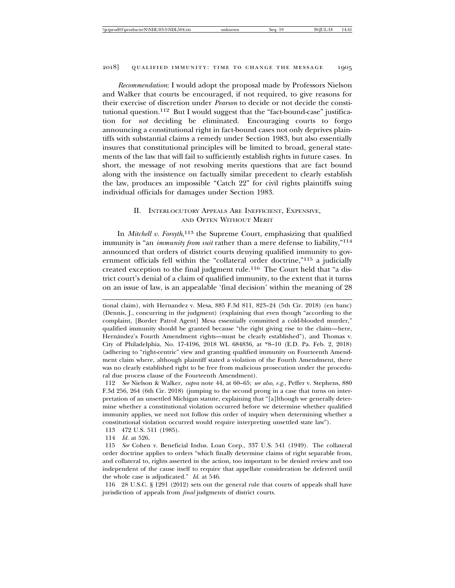*Recommendation*: I would adopt the proposal made by Professors Nielson and Walker that courts be encouraged, if not required, to give reasons for their exercise of discretion under *Pearson* to decide or not decide the constitutional question.<sup>112</sup> But I would suggest that the "fact-bound-case" justification for *not* deciding be eliminated. Encouraging courts to forgo announcing a constitutional right in fact-bound cases not only deprives plaintiffs with substantial claims a remedy under Section 1983, but also essentially insures that constitutional principles will be limited to broad, general statements of the law that will fail to sufficiently establish rights in future cases. In short, the message of not resolving merits questions that are fact bound along with the insistence on factually similar precedent to clearly establish the law, produces an impossible "Catch 22" for civil rights plaintiffs suing individual officials for damages under Section 1983.

#### II. INTERLOCUTORY APPEALS ARE INEFFICIENT, EXPENSIVE, AND OFTEN WITHOUT MERIT

In *Mitchell v. Forsyth*, 113 the Supreme Court, emphasizing that qualified immunity is "an *immunity from suit* rather than a mere defense to liability,"114 announced that orders of district courts denying qualified immunity to government officials fell within the "collateral order doctrine,"115 a judicially created exception to the final judgment rule.<sup>116</sup> The Court held that "a district court's denial of a claim of qualified immunity, to the extent that it turns on an issue of law, is an appealable 'final decision' within the meaning of 28

112 *See* Nielson & Walker, *supra* note 44, at 60–65; *see also, e.g.*, Peffer v. Stephens, 880 F.3d 256, 264 (6th Cir. 2018) (jumping to the second prong in a case that turns on interpretation of an unsettled Michigan statute, explaining that "[a]lthough we generally determine whether a constitutional violation occurred before we determine whether qualified immunity applies, we need not follow this order of inquiry when determining whether a constitutional violation occurred would require interpreting unsettled state law").

113 472 U.S. 511 (1985).

114 *Id.* at 526.

115 *See* Cohen v. Beneficial Indus. Loan Corp., 337 U.S. 541 (1949). The collateral order doctrine applies to orders "which finally determine claims of right separable from, and collateral to, rights asserted in the action, too important to be denied review and too independent of the cause itself to require that appellate consideration be deferred until the whole case is adjudicated." *Id.* at 546.

116 28 U.S.C. § 1291 (2012) sets out the general rule that courts of appeals shall have jurisdiction of appeals from *final* judgments of district courts.

tional claim), with Hernandez v. Mesa, 885 F.3d 811, 823–24 (5th Cir. 2018) (en banc) (Dennis, J., concurring in the judgment) (explaining that even though "according to the complaint, [Border Patrol Agent] Mesa essentially committed a cold-blooded murder," qualified immunity should be granted because "the right giving rise to the claim—here, Hernández's Fourth Amendment rights—must be clearly established"), and Thomas v. City of Philadelphia, No. 17-4196, 2018 WL 684836, at \*8–10 (E.D. Pa. Feb. 2, 2018) (adhering to "right-centric" view and granting qualified immunity on Fourteenth Amendment claim where, although plaintiff stated a violation of the Fourth Amendment, there was no clearly established right to be free from malicious prosecution under the procedural due process clause of the Fourteenth Amendment).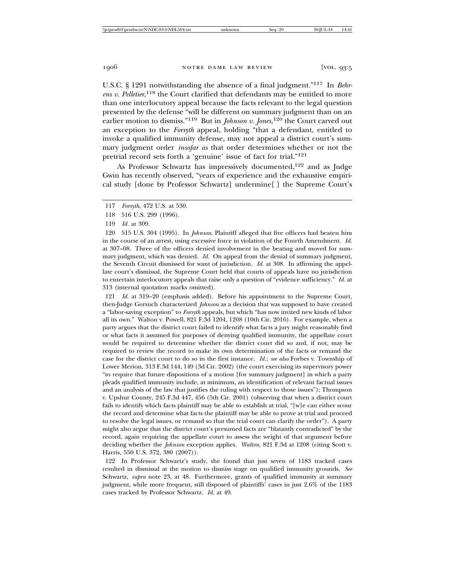U.S.C. § 1291 notwithstanding the absence of a final judgment."117 In *Behrens v. Pelletier*, 118 the Court clarified that defendants may be entitled to more than one interlocutory appeal because the facts relevant to the legal question presented by the defense "will be different on summary judgment than on an earlier motion to dismiss."119 But in *Johnson v. Jones*, 120 the Court carved out an exception to the *Forsyth* appeal, holding "that a defendant, entitled to invoke a qualified immunity defense, may not appeal a district court's summary judgment order *insofar as* that order determines whether or not the pretrial record sets forth a 'genuine' issue of fact for trial."121

As Professor Schwartz has impressively documented,122 and as Judge Gwin has recently observed, "years of experience and the exhaustive empirical study [done by Professor Schwartz] undermine[ ] the Supreme Court's

120 515 U.S. 304 (1995). In *Johnson*, Plaintiff alleged that five officers had beaten him in the course of an arrest, using excessive force in violation of the Fourth Amendment. *Id.* at 307–08. Three of the officers denied involvement in the beating and moved for summary judgment, which was denied. *Id.* On appeal from the denial of summary judgment, the Seventh Circuit dismissed for want of jurisdiction. *Id.* at 308. In affirming the appellate court's dismissal, the Supreme Court held that courts of appeals have no jurisdiction to entertain interlocutory appeals that raise only a question of "evidence sufficiency." *Id.* at 313 (internal quotation marks omitted).

121 *Id.* at 319–20 (emphasis added). Before his appointment to the Supreme Court, then-Judge Gorsuch characterized *Johnson* as a decision that was supposed to have created a "labor-saving exception" to *Forsyth* appeals, but which "has now invited new kinds of labor all its own." Walton v. Powell, 821 F.3d 1204, 1208 (10th Cir. 2016). For example, when a party argues that the district court failed to identify what facts a jury might reasonably find or what facts it assumed for purposes of denying qualified immunity, the appellate court would be required to determine whether the district court did so and, if not, may be required to review the record to make its own determination of the facts or remand the case for the district court to do so in the first instance. *Id.*; *see also* Forbes v. Township of Lower Merion, 313 F.3d 144, 149 (3d Cir. 2002) (the court exercising its supervisory power "to require that future dispositions of a motion [for summary judgment] in which a party pleads qualified immunity include, at minimum, an identification of relevant factual issues and an analysis of the law that justifies the ruling with respect to those issues"); Thompson v. Upshur County, 245 F.3d 447, 456 (5th Cir. 2001) (observing that when a district court fails to identify which facts plaintiff may be able to establish at trial, "[w]e can either scour the record and determine what facts the plaintiff may be able to prove at trial and proceed to resolve the legal issues, or remand so that the trial court can clarify the order"). A party might also argue that the district court's presumed facts are "blatantly contradicted" by the record, again requiring the appellate court to assess the weight of that argument before deciding whether the *Johnson* exception applies. *Walton*, 821 F.3d at 1208 (citing Scott v. Harris, 550 U.S. 372, 380 (2007)).

122 In Professor Schwartz's study, she found that just seven of 1183 tracked cases resulted in dismissal at the motion to dismiss stage on qualified immunity grounds. *See* Schwartz, *supra* note 23, at 48. Furthermore, grants of qualified immunity at summary judgment, while more frequent, still disposed of plaintiffs' cases in just 2.6% of the 1183 cases tracked by Professor Schwartz. *Id.* at 49.

<sup>117</sup> *Forsyth*, 472 U.S. at 530.

<sup>118 516</sup> U.S. 299 (1996).

<sup>119</sup> *Id.* at 309.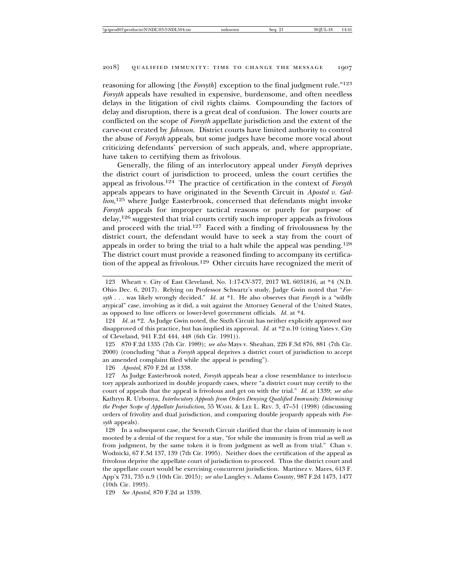reasoning for allowing [the *Forsyth*] exception to the final judgment rule."123 *Forsyth* appeals have resulted in expensive, burdensome, and often needless delays in the litigation of civil rights claims. Compounding the factors of delay and disruption, there is a great deal of confusion. The lower courts are conflicted on the scope of *Forsyth* appellate jurisdiction and the extent of the carve-out created by *Johnson*. District courts have limited authority to control the abuse of *Forsyth* appeals, but some judges have become more vocal about criticizing defendants' perversion of such appeals, and, where appropriate, have taken to certifying them as frivolous.

Generally, the filing of an interlocutory appeal under *Forsyth* deprives the district court of jurisdiction to proceed, unless the court certifies the appeal as frivolous.124 The practice of certification in the context of *Forsyth* appeals appears to have originated in the Seventh Circuit in *Apostol v. Gallion*, 125 where Judge Easterbrook, concerned that defendants might invoke *Forsyth* appeals for improper tactical reasons or purely for purpose of delay,126 suggested that trial courts certify such improper appeals as frivolous and proceed with the trial.127 Faced with a finding of frivolousness by the district court, the defendant would have to seek a stay from the court of appeals in order to bring the trial to a halt while the appeal was pending.128 The district court must provide a reasoned finding to accompany its certification of the appeal as frivolous.129 Other circuits have recognized the merit of

126 *Apostol*, 870 F.2d at 1338.

<sup>123</sup> Wheatt v. City of East Cleveland, No. 1:17-CV-377, 2017 WL 6031816, at \*4 (N.D. Ohio Dec. 6, 2017). Relying on Professor Schwartz's study, Judge Gwin noted that "*Forsyth* . . . was likely wrongly decided." *Id.* at \*1. He also observes that *Forsyth* is a "wildly atypical" case, involving as it did, a suit against the Attorney General of the United States, as opposed to line officers or lower-level government officials. *Id.* at \*4.

<sup>124</sup> *Id.* at \*2. As Judge Gwin noted, the Sixth Circuit has neither explicitly approved nor disapproved of this practice, but has implied its approval. *Id.* at \*2 n.10 (citing Yates v. City of Cleveland, 941 F.2d 444, 448 (6th Cir. 1991)).

<sup>125 870</sup> F.2d 1335 (7th Cir. 1989); *see also* Mays v. Sheahan, 226 F.3d 876, 881 (7th Cir. 2000) (concluding "that a *Forsyth* appeal deprives a district court of jurisdiction to accept an amended complaint filed while the appeal is pending").

<sup>127</sup> As Judge Easterbrook noted, *Forsyth* appeals bear a close resemblance to interlocutory appeals authorized in double jeopardy cases, where "a district court may certify to the court of appeals that the appeal is frivolous and get on with the trial." *Id.* at 1339; *see also* Kathryn R. Urbonya, *Interlocutory Appeals from Orders Denying Qualified Immunity: Determining the Proper Scope of Appellate Jurisdiction*, 55 WASH. & LEE L. REV. 3, 47–51 (1998) (discussing orders of frivolity and dual jurisdiction, and comparing double jeopardy appeals with *Forsyth* appeals).

<sup>128</sup> In a subsequent case, the Seventh Circuit clarified that the claim of immunity is not mooted by a denial of the request for a stay, "for while the immunity is from trial as well as from judgment, by the same token it is from judgment as well as from trial." Chan v. Wodnicki, 67 F.3d 137, 139 (7th Cir. 1995). Neither does the certification of the appeal as frivolous deprive the appellate court of jurisdiction to proceed. Thus the district court and the appellate court would be exercising concurrent jurisdiction. Martinez v. Mares, 613 F. App'x 731, 735 n.9 (10th Cir. 2015); *see also* Langley v. Adams County, 987 F.2d 1473, 1477 (10th Cir. 1993).

<sup>129</sup> *See Apostol*, 870 F.2d at 1339.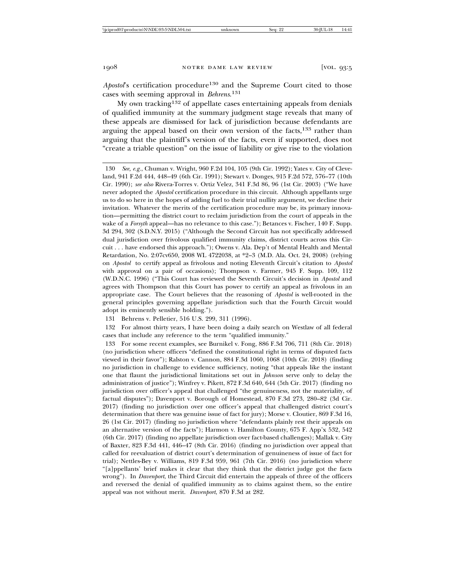*Apostol*'s certification procedure<sup>130</sup> and the Supreme Court cited to those cases with seeming approval in *Behrens*. 131

My own tracking132 of appellate cases entertaining appeals from denials of qualified immunity at the summary judgment stage reveals that many of these appeals are dismissed for lack of jurisdiction because defendants are arguing the appeal based on their own version of the facts,<sup>133</sup> rather than arguing that the plaintiff's version of the facts, even if supported, does not "create a triable question" on the issue of liability or give rise to the violation

130 *See, e.g.*, Chuman v. Wright, 960 F.2d 104, 105 (9th Cir. 1992); Yates v. City of Cleveland, 941 F.2d 444, 448–49 (6th Cir. 1991); Stewart v. Donges, 915 F.2d 572, 576–77 (10th Cir. 1990); *see also* Rivera-Torres v. Ortiz Velez, 341 F.3d 86, 96 (1st Cir. 2003) ("We have never adopted the *Apostol* certification procedure in this circuit. Although appellants urge us to do so here in the hopes of adding fuel to their trial nullity argument, we decline their invitation. Whatever the merits of the certification procedure may be, its primary innovation—permitting the district court to reclaim jurisdiction from the court of appeals in the wake of a *Forsyth* appeal—has no relevance to this case."); Betances v. Fischer, 140 F. Supp. 3d 294, 302 (S.D.N.Y. 2015) ("Although the Second Circuit has not specifically addressed dual jurisdiction over frivolous qualified immunity claims, district courts across this Circuit . . . have endorsed this approach."); Owens v. Ala. Dep't of Mental Health and Mental Retardation, No. 2:07cv650, 2008 WL 4722038, at \*2–3 (M.D. Ala. Oct. 24, 2008) (relying on *Apostol* to certify appeal as frivolous and noting Eleventh Circuit's citation to *Apostol* with approval on a pair of occasions); Thompson v. Farmer, 945 F. Supp. 109, 112 (W.D.N.C. 1996) ("This Court has reviewed the Seventh Circuit's decision in *Apostol* and agrees with Thompson that this Court has power to certify an appeal as frivolous in an appropriate case. The Court believes that the reasoning of *Apostol* is well-rooted in the general principles governing appellate jurisdiction such that the Fourth Circuit would adopt its eminently sensible holding.").

131 Behrens v. Pelletier, 516 U.S. 299, 311 (1996).

132 For almost thirty years, I have been doing a daily search on Westlaw of all federal cases that include any reference to the term "qualified immunity."

133 For some recent examples, see Burnikel v. Fong, 886 F.3d 706, 711 (8th Cir. 2018) (no jurisdiction where officers "defined the constitutional right in terms of disputed facts viewed in their favor"); Ralston v. Cannon, 884 F.3d 1060, 1068 (10th Cir. 2018) (finding no jurisdiction in challenge to evidence sufficiency, noting "that appeals like the instant one that flaunt the jurisdictional limitations set out in *Johnson* serve only to delay the administration of justice"); Winfrey v. Pikett, 872 F.3d 640, 644 (5th Cir. 2017) (finding no jurisdiction over officer's appeal that challenged "the genuineness, not the materiality, of factual disputes"); Davenport v. Borough of Homestead, 870 F.3d 273, 280–82 (3d Cir. 2017) (finding no jurisdiction over one officer's appeal that challenged district court's determination that there was genuine issue of fact for jury); Morse v. Cloutier, 869 F.3d 16, 26 (1st Cir. 2017) (finding no jurisdiction where "defendants plainly rest their appeals on an alternative version of the facts"); Harmon v. Hamilton County, 675 F. App'x 532, 542 (6th Cir. 2017) (finding no appellate jurisdiction over fact-based challenges); Mallak v. City of Baxter, 823 F.3d 441, 446–47 (8th Cir. 2016) (finding no jurisdiction over appeal that called for reevaluation of district court's determination of genuineness of issue of fact for trial); Nettles-Bey v. Williams, 819 F.3d 959, 961 (7th Cir. 2016) (no jurisdiction where "[a]ppellants' brief makes it clear that they think that the district judge got the facts wrong"). In *Davenport*, the Third Circuit did entertain the appeals of three of the officers and reversed the denial of qualified immunity as to claims against them, so the entire appeal was not without merit. *Davenport*, 870 F.3d at 282.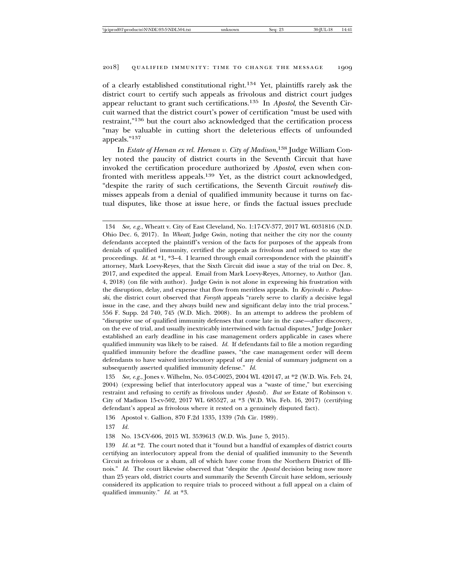of a clearly established constitutional right.134 Yet, plaintiffs rarely ask the district court to certify such appeals as frivolous and district court judges appear reluctant to grant such certifications.135 In *Apostol*, the Seventh Circuit warned that the district court's power of certification "must be used with restraint,"136 but the court also acknowledged that the certification process "may be valuable in cutting short the deleterious effects of unfounded appeals."<sup>137</sup>

In *Estate of Heenan ex rel. Heenan v. City of Madison*, 138 Judge William Conley noted the paucity of district courts in the Seventh Circuit that have invoked the certification procedure authorized by *Apostol*, even when confronted with meritless appeals.<sup>139</sup> Yet, as the district court acknowledged, "despite the rarity of such certifications, the Seventh Circuit *routinely* dismisses appeals from a denial of qualified immunity because it turns on factual disputes, like those at issue here, or finds the factual issues preclude

135 *See, e.g.*, Jones v. Wilhelm, No. 03-C-0025, 2004 WL 420147, at \*2 (W.D. Wis. Feb. 24, 2004) (expressing belief that interlocutory appeal was a "waste of time," but exercising restraint and refusing to certify as frivolous under *Apostol*). *But see* Estate of Robinson v. City of Madison 15-cv-502, 2017 WL 685527, at \*3 (W.D. Wis. Feb. 16, 2017) (certifying defendant's appeal as frivolous where it rested on a genuinely disputed fact).

136 Apostol v. Gallion, 870 F.2d 1335, 1339 (7th Cir. 1989).

137 *Id.*

138 No. 13-CV-606, 2015 WL 3539613 (W.D. Wis. June 5, 2015).

139 *Id.* at \*2. The court noted that it "found but a handful of examples of district courts certifying an interlocutory appeal from the denial of qualified immunity to the Seventh Circuit as frivolous or a sham, all of which have come from the Northern District of Illinois." *Id.* The court likewise observed that "despite the *Apostol* decision being now more than 25 years old, district courts and summarily the Seventh Circuit have seldom, seriously considered its application to require trials to proceed without a full appeal on a claim of qualified immunity." *Id.* at \*3.

<sup>134</sup> *See, e.g.*, Wheatt v. City of East Cleveland, No. 1:17-CV-377, 2017 WL 6031816 (N.D. Ohio Dec. 6, 2017). In *Wheatt*, Judge Gwin, noting that neither the city nor the county defendants accepted the plaintiff's version of the facts for purposes of the appeals from denials of qualified immunity, certified the appeals as frivolous and refused to stay the proceedings. *Id.* at \*1, \*3–4. I learned through email correspondence with the plaintiff's attorney, Mark Loevy-Reyes, that the Sixth Circuit did issue a stay of the trial on Dec. 8, 2017, and expedited the appeal. Email from Mark Loevy-Reyes, Attorney, to Author (Jan. 4, 2018) (on file with author). Judge Gwin is not alone in expressing his frustration with the disruption, delay, and expense that flow from meritless appeals. In *Krycinski v. Packowski*, the district court observed that *Forsyth* appeals "rarely serve to clarify a decisive legal issue in the case, and they always build new and significant delay into the trial process." 556 F. Supp. 2d 740, 745 (W.D. Mich. 2008). In an attempt to address the problem of "disruptive use of qualified immunity defenses that come late in the case—after discovery, on the eve of trial, and usually inextricably intertwined with factual disputes," Judge Jonker established an early deadline in his case management orders applicable in cases where qualified immunity was likely to be raised. *Id.* If defendants fail to file a motion regarding qualified immunity before the deadline passes, "the case management order will deem defendants to have waived interlocutory appeal of any denial of summary judgment on a subsequently asserted qualified immunity defense." *Id.*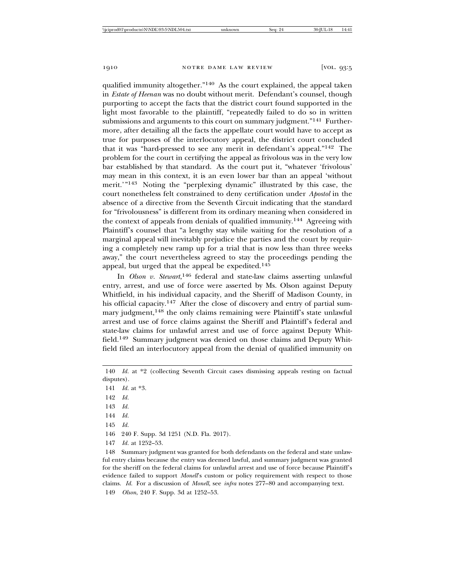qualified immunity altogether."140 As the court explained, the appeal taken in *Estate of Heenan* was no doubt without merit. Defendant's counsel, though purporting to accept the facts that the district court found supported in the light most favorable to the plaintiff, "repeatedly failed to do so in written submissions and arguments to this court on summary judgment."<sup>141</sup> Furthermore, after detailing all the facts the appellate court would have to accept as true for purposes of the interlocutory appeal, the district court concluded that it was "hard-pressed to see any merit in defendant's appeal."142 The problem for the court in certifying the appeal as frivolous was in the very low bar established by that standard. As the court put it, "whatever 'frivolous' may mean in this context, it is an even lower bar than an appeal 'without merit.'"143 Noting the "perplexing dynamic" illustrated by this case, the court nonetheless felt constrained to deny certification under *Apostol* in the absence of a directive from the Seventh Circuit indicating that the standard for "frivolousness" is different from its ordinary meaning when considered in the context of appeals from denials of qualified immunity.144 Agreeing with Plaintiff's counsel that "a lengthy stay while waiting for the resolution of a marginal appeal will inevitably prejudice the parties and the court by requiring a completely new ramp up for a trial that is now less than three weeks away," the court nevertheless agreed to stay the proceedings pending the appeal, but urged that the appeal be expedited.145

In *Olson v. Stewart*, 146 federal and state-law claims asserting unlawful entry, arrest, and use of force were asserted by Ms. Olson against Deputy Whitfield, in his individual capacity, and the Sheriff of Madison County, in his official capacity.<sup>147</sup> After the close of discovery and entry of partial summary judgment,<sup>148</sup> the only claims remaining were Plaintiff's state unlawful arrest and use of force claims against the Sheriff and Plaintiff's federal and state-law claims for unlawful arrest and use of force against Deputy Whitfield.149 Summary judgment was denied on those claims and Deputy Whitfield filed an interlocutory appeal from the denial of qualified immunity on

141 *Id.* at \*3.

- 142 *Id.*
- 143 *Id.*
- 144 *Id.*
- 145 *Id.*
- 146 240 F. Supp. 3d 1251 (N.D. Fla. 2017).
- 147 *Id.* at 1252–53.

148 Summary judgment was granted for both defendants on the federal and state unlawful entry claims because the entry was deemed lawful, and summary judgment was granted for the sheriff on the federal claims for unlawful arrest and use of force because Plaintiff's evidence failed to support *Monell*'s custom or policy requirement with respect to those claims. *Id.* For a discussion of *Monell*, see *infra* notes 277–80 and accompanying text. 149 *Olson*, 240 F. Supp. 3d at 1252–53.

<sup>140</sup> *Id.* at \*2 (collecting Seventh Circuit cases dismissing appeals resting on factual disputes).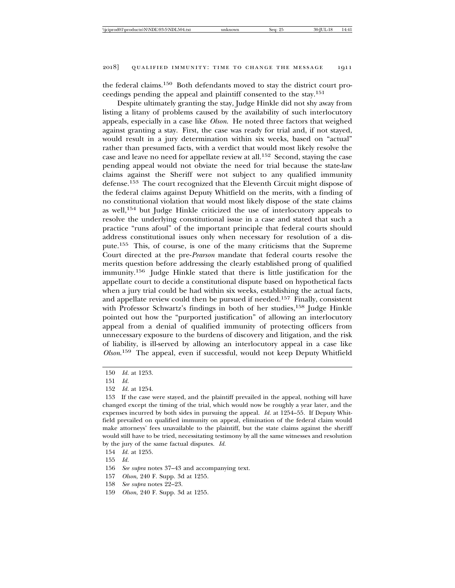the federal claims.150 Both defendants moved to stay the district court proceedings pending the appeal and plaintiff consented to the stay.151

Despite ultimately granting the stay, Judge Hinkle did not shy away from listing a litany of problems caused by the availability of such interlocutory appeals, especially in a case like *Olson*. He noted three factors that weighed against granting a stay. First, the case was ready for trial and, if not stayed, would result in a jury determination within six weeks, based on "actual" rather than presumed facts, with a verdict that would most likely resolve the case and leave no need for appellate review at all.152 Second, staying the case pending appeal would not obviate the need for trial because the state-law claims against the Sheriff were not subject to any qualified immunity defense.153 The court recognized that the Eleventh Circuit might dispose of the federal claims against Deputy Whitfield on the merits, with a finding of no constitutional violation that would most likely dispose of the state claims as well,154 but Judge Hinkle criticized the use of interlocutory appeals to resolve the underlying constitutional issue in a case and stated that such a practice "runs afoul" of the important principle that federal courts should address constitutional issues only when necessary for resolution of a dispute.155 This, of course, is one of the many criticisms that the Supreme Court directed at the pre-*Pearson* mandate that federal courts resolve the merits question before addressing the clearly established prong of qualified immunity.156 Judge Hinkle stated that there is little justification for the appellate court to decide a constitutional dispute based on hypothetical facts when a jury trial could be had within six weeks, establishing the actual facts, and appellate review could then be pursued if needed.157 Finally, consistent with Professor Schwartz's findings in both of her studies,<sup>158</sup> Judge Hinkle pointed out how the "purported justification" of allowing an interlocutory appeal from a denial of qualified immunity of protecting officers from unnecessary exposure to the burdens of discovery and litigation, and the risk of liability, is ill-served by allowing an interlocutory appeal in a case like *Olson*. 159 The appeal, even if successful, would not keep Deputy Whitfield

<sup>150</sup> *Id.* at 1253.

<sup>151</sup> *Id.*

<sup>152</sup> *Id.* at 1254.

<sup>153</sup> If the case were stayed, and the plaintiff prevailed in the appeal, nothing will have changed except the timing of the trial, which would now be roughly a year later, and the expenses incurred by both sides in pursuing the appeal. *Id.* at 1254–55. If Deputy Whitfield prevailed on qualified immunity on appeal, elimination of the federal claim would make attorneys' fees unavailable to the plaintiff, but the state claims against the sheriff would still have to be tried, necessitating testimony by all the same witnesses and resolution by the jury of the same factual disputes. *Id.*

<sup>154</sup> *Id.* at 1255.

<sup>155</sup> *Id.*

<sup>156</sup> *See supra* notes 37–43 and accompanying text.

<sup>157</sup> *Olson*, 240 F. Supp. 3d at 1255.

<sup>158</sup> *See supra* notes 22–23.

<sup>159</sup> *Olson*, 240 F. Supp. 3d at 1255.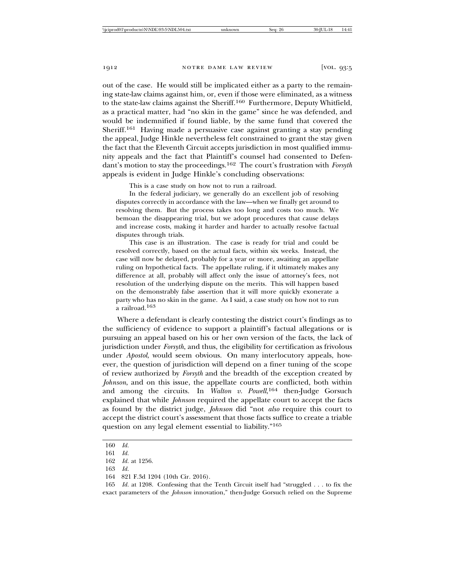out of the case. He would still be implicated either as a party to the remaining state-law claims against him, or, even if those were eliminated, as a witness to the state-law claims against the Sheriff.160 Furthermore, Deputy Whitfield, as a practical matter, had "no skin in the game" since he was defended, and would be indemnified if found liable, by the same fund that covered the Sheriff.161 Having made a persuasive case against granting a stay pending the appeal, Judge Hinkle nevertheless felt constrained to grant the stay given the fact that the Eleventh Circuit accepts jurisdiction in most qualified immunity appeals and the fact that Plaintiff's counsel had consented to Defendant's motion to stay the proceedings.162 The court's frustration with *Forsyth* appeals is evident in Judge Hinkle's concluding observations:

This is a case study on how not to run a railroad.

In the federal judiciary, we generally do an excellent job of resolving disputes correctly in accordance with the law—when we finally get around to resolving them. But the process takes too long and costs too much. We bemoan the disappearing trial, but we adopt procedures that cause delays and increase costs, making it harder and harder to actually resolve factual disputes through trials.

This case is an illustration. The case is ready for trial and could be resolved correctly, based on the actual facts, within six weeks. Instead, the case will now be delayed, probably for a year or more, awaiting an appellate ruling on hypothetical facts. The appellate ruling, if it ultimately makes any difference at all, probably will affect only the issue of attorney's fees, not resolution of the underlying dispute on the merits. This will happen based on the demonstrably false assertion that it will more quickly exonerate a party who has no skin in the game. As I said, a case study on how not to run a railroad.163

Where a defendant is clearly contesting the district court's findings as to the sufficiency of evidence to support a plaintiff's factual allegations or is pursuing an appeal based on his or her own version of the facts, the lack of jurisdiction under *Forsyth*, and thus, the eligibility for certification as frivolous under *Apostol*, would seem obvious. On many interlocutory appeals, however, the question of jurisdiction will depend on a finer tuning of the scope of review authorized by *Forsyth* and the breadth of the exception created by *Johnson*, and on this issue, the appellate courts are conflicted, both within and among the circuits. In *Walton v. Powell*, <sup>164</sup> then-Judge Gorsuch explained that while *Johnson* required the appellate court to accept the facts as found by the district judge, *Johnson* did "not *also* require this court to accept the district court's assessment that those facts suffice to create a triable question on any legal element essential to liability."165

<sup>160</sup> *Id.*

<sup>161</sup> *Id.*

<sup>162</sup> *Id.* at 1256.

<sup>163</sup> *Id.*

<sup>164 821</sup> F.3d 1204 (10th Cir. 2016).

<sup>165</sup> *Id.* at 1208. Confessing that the Tenth Circuit itself had "struggled . . . to fix the exact parameters of the *Johnson* innovation," then-Judge Gorsuch relied on the Supreme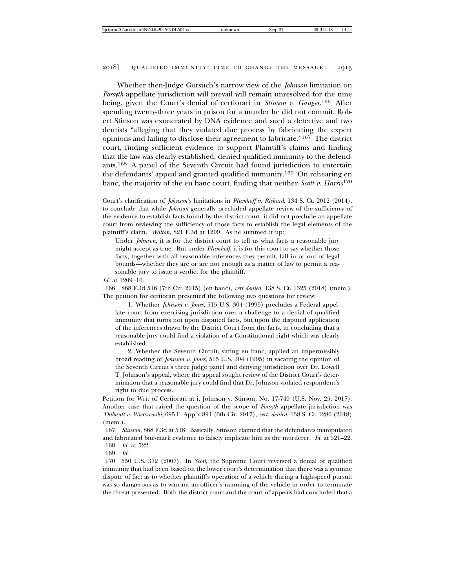Whether then-Judge Gorsuch's narrow view of the *Johnson* limitation on *Forsyth* appellate jurisdiction will prevail will remain unresolved for the time being, given the Court's denial of certiorari in *Stinson v. Gauger*. 166 After spending twenty-three years in prison for a murder he did not commit, Robert Stinson was exonerated by DNA evidence and sued a detective and two dentists "alleging that they violated due process by fabricating the expert opinions and failing to disclose their agreement to fabricate."167 The district court, finding sufficient evidence to support Plaintiff's claims and finding that the law was clearly established, denied qualified immunity to the defendants.168 A panel of the Seventh Circuit had found jurisdiction to entertain the defendants' appeal and granted qualified immunity.169 On rehearing en banc, the majority of the en banc court, finding that neither *Scott v. Harris*<sup>170</sup>

Court's clarification of *Johnson*'s limitations in *Plumhoff v. Rickard*, 134 S. Ct. 2012 (2014), to conclude that while *Johnson* generally precluded appellate review of the sufficiency of the evidence to establish facts found by the district court, it did not preclude an appellate court from reviewing the sufficiency of those facts to establish the legal elements of the plaintiff's claim. *Walton*, 821 F.3d at 1209. As he summed it up:

Under *Johnson*, it is for the district court to tell us what facts a reasonable jury might accept as true. But under *Plumhoff*, it is for this court to say whether those facts, together with all reasonable inferences they permit, fall in or out of legal bounds—whether they are or are not enough as a matter of law to permit a reasonable jury to issue a verdict for the plaintiff.

*Id.* at 1209–10.

166 868 F.3d 516 (7th Cir. 2015) (en banc), *cert denied*, 138 S. Ct. 1325 (2018) (mem.). The petition for certiorari presented the following two questions for review:

1. Whether *Johnson v. Jones*, 515 U.S. 304 (1995) precludes a Federal appellate court from exercising jurisdiction over a challenge to a denial of qualified immunity that turns not upon disputed facts, but upon the disputed application of the inferences drawn by the District Court from the facts, in concluding that a reasonable jury could find a violation of a Constitutional right which was clearly established.

2. Whether the Seventh Circuit, sitting en banc, applied an impermissibly broad reading of *Johnson v. Jones*, 515 U.S. 304 (1995) in vacating the opinion of the Seventh Circuit's three judge panel and denying jurisdiction over Dr. Lowell T. Johnson's appeal, where the appeal sought review of the District Court's determination that a reasonable jury could find that Dr. Johnson violated respondent's right to due process.

Petition for Writ of Certiorari at i, Johnson v. Stinson, No. 17-749 (U.S. Nov. 25, 2017). Another case that raised the question of the scope of *Forsyth* appellate jurisdiction was *Thibault v. Wierszewski*, 695 F. App'x 891 (6th Cir. 2017), *cert. denied*, 138 S. Ct. 1280 (2018) (mem.).

167 *Stinson*, 868 F.3d at 518. Basically, Stinson claimed that the defendants manipulated and fabricated bite-mark evidence to falsely implicate him as the murderer. *Id.* at 521–22.

168 *Id.* at 522.

169 *Id.*

170 550 U.S. 372 (2007). In *Scott*, the Supreme Court reversed a denial of qualified immunity that had been based on the lower court's determination that there was a genuine dispute of fact as to whether plaintiff's operation of a vehicle during a high-speed pursuit was so dangerous as to warrant an officer's ramming of the vehicle in order to terminate the threat presented. Both the district court and the court of appeals had concluded that a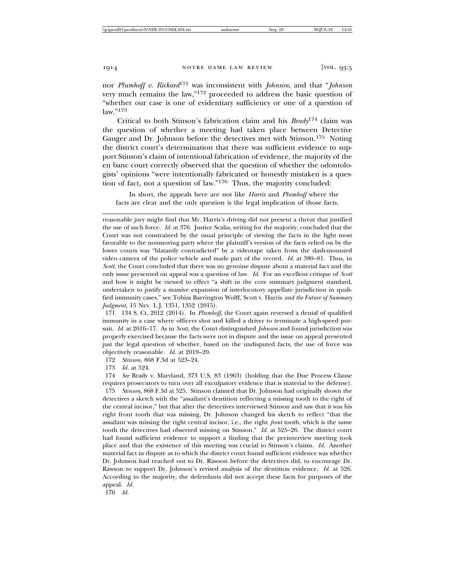nor *Plumhoff v. Rickard*171 was inconsistent with *Johnson*, and that "*Johnson* very much remains the law,"172 proceeded to address the basic question of "whether our case is one of evidentiary sufficiency or one of a question of  $law$  "173

Critical to both Stinson's fabrication claim and his *Brady*174 claim was the question of whether a meeting had taken place between Detective Gauger and Dr. Johnson before the detectives met with Stinson.175 Noting the district court's determination that there was sufficient evidence to support Stinson's claim of intentional fabrication of evidence, the majority of the en banc court correctly observed that the question of whether the odontologists' opinions "were intentionally fabricated or honestly mistaken is a question of fact, not a question of law."176 Thus, the majority concluded:

In short, the appeals here are not like *Harris* and *Plumhoff* where the facts are clear and the only question is the legal implication of those facts.

reasonable jury might find that Mr. Harris's driving did not present a threat that justified the use of such force. *Id.* at 376. Justice Scalia, writing for the majority, concluded that the Court was not constrained by the usual principle of viewing the facts in the light most favorable to the nonmoving party where the plaintiff's version of the facts relied on by the lower courts was "blatantly contradicted" by a videotape taken from the dash-mounted video camera of the police vehicle and made part of the record. *Id.* at 380–81. Thus, in *Scott*, the Court concluded that there was no genuine dispute about a material fact and the only issue presented on appeal was a question of law. *Id.* For an excellent critique of *Scott* and how it might be viewed to effect "a shift in the core summary judgment standard, undertaken to justify a massive expansion of interlocutory appellate jurisdiction in qualified immunity cases," see Tobias Barrington Wolff, Scott v. Harris *and the Future of Summary Judgment*, 15 Nev. L.J. 1351, 1352 (2015).

171 134 S. Ct. 2012 (2014). In *Plumhoff*, the Court again reversed a denial of qualified immunity in a case where officers shot and killed a driver to terminate a high-speed pursuit. *Id.* at 2016–17. As in *Scott*, the Court distinguished *Johnson* and found jurisdiction was properly exercised because the facts were not in dispute and the issue on appeal presented just the legal question of whether, based on the undisputed facts, the use of force was objectively reasonable. *Id.* at 2019–20.

172 *Stinson*, 868 F.3d at 523–24.

173 *Id.* at 524.

174 *See* Brady v. Maryland, 373 U.S. 83 (1963) (holding that the Due Process Clause requires prosecutors to turn over all exculpatory evidence that is material to the defense). 175 *Stinson*, 868 F.3d at 525. Stinson claimed that Dr. Johnson had originally shown the detectives a sketch with the "assailant's dentition reflecting a missing tooth to the right of the central incisor," but that after the detectives interviewed Stinson and saw that it was his right front tooth that was missing, Dr. Johnson changed his sketch to reflect "that the assailant was missing the right central incisor, i.e., the right *front* tooth, which is the same tooth the detectives had observed missing on Stinson." *Id.* at 525–26. The district court had found sufficient evidence to support a finding that the preinterview meeting took place and that the existence of this meeting was crucial to Stinson's claims. *Id.* Another material fact in dispute as to which the district court found sufficient evidence was whether Dr. Johnson had reached out to Dr. Rawson before the detectives did, to encourage Dr. Rawson to support Dr. Johnson's revised analysis of the dentition evidence. *Id.* at 526. According to the majority, the defendants did not accept these facts for purposes of the appeal. *Id.*

176 *Id.*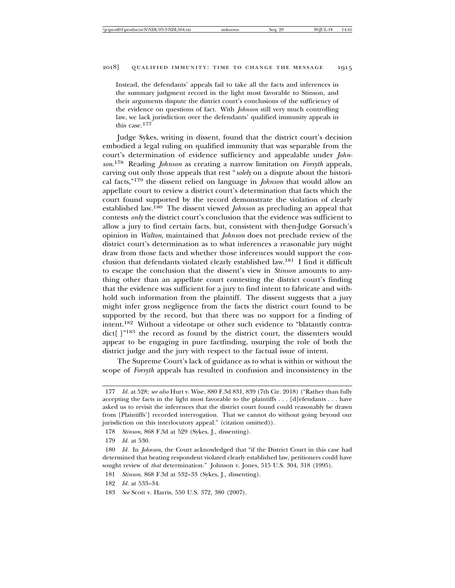Instead, the defendants' appeals fail to take all the facts and inferences in the summary judgment record in the light most favorable to Stinson, and their arguments dispute the district court's conclusions of the sufficiency of the evidence on questions of fact. With *Johnson* still very much controlling law, we lack jurisdiction over the defendants' qualified immunity appeals in this case.177

Judge Sykes, writing in dissent, found that the district court's decision embodied a legal ruling on qualified immunity that was separable from the court's determination of evidence sufficiency and appealable under *Johnson*. 178 Reading *Johnson* as creating a narrow limitation on *Forsyth* appeals, carving out only those appeals that rest "*solely* on a dispute about the historical facts,"179 the dissent relied on language in *Johnson* that would allow an appellate court to review a district court's determination that facts which the court found supported by the record demonstrate the violation of clearly established law.180 The dissent viewed *Johnson* as precluding an appeal that contests *only* the district court's conclusion that the evidence was sufficient to allow a jury to find certain facts, but, consistent with then-Judge Gorsuch's opinion in *Walton*, maintained that *Johnson* does not preclude review of the district court's determination as to what inferences a reasonable jury might draw from those facts and whether those inferences would support the conclusion that defendants violated clearly established law.181 I find it difficult to escape the conclusion that the dissent's view in *Stinson* amounts to anything other than an appellate court contesting the district court's finding that the evidence was sufficient for a jury to find intent to fabricate and withhold such information from the plaintiff. The dissent suggests that a jury might infer gross negligence from the facts the district court found to be supported by the record, but that there was no support for a finding of intent.182 Without a videotape or other such evidence to "blatantly contradict[ ]"183 the record as found by the district court, the dissenters would appear to be engaging in pure factfinding, usurping the role of both the district judge and the jury with respect to the factual issue of intent.

The Supreme Court's lack of guidance as to what is within or without the scope of *Forsyth* appeals has resulted in confusion and inconsistency in the

<sup>177</sup> *Id.* at 528; *see also* Hurt v. Wise, 880 F.3d 831, 839 (7th Cir. 2018) ("Rather than fully accepting the facts in the light most favorable to the plaintiffs . . . [d]efendants . . . have asked us to revisit the inferences that the district court found could reasonably be drawn from [Plaintiffs'] recorded interrogation. That we cannot do without going beyond our jurisdiction on this interlocutory appeal." (citation omitted)).

<sup>178</sup> *Stinson*, 868 F.3d at 529 (Sykes, J., dissenting).

<sup>179</sup> *Id.* at 530.

<sup>180</sup> *Id.* In *Johnson*, the Court acknowledged that "if the District Court in this case had determined that beating respondent violated clearly established law, petitioners could have sought review of *that* determination." Johnson v. Jones, 515 U.S. 304, 318 (1995).

<sup>181</sup> *Stinson*, 868 F.3d at 532–33 (Sykes, J., dissenting).

<sup>182</sup> *Id.* at 533–34.

<sup>183</sup> *See* Scott v. Harris, 550 U.S. 372, 380 (2007).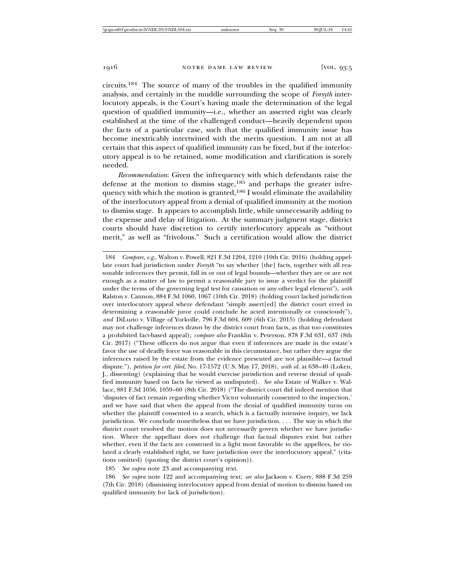circuits.184 The source of many of the troubles in the qualified immunity analysis, and certainly in the muddle surrounding the scope of *Forsyth* interlocutory appeals, is the Court's having made the determination of the legal question of qualified immunity—i.e., whether an asserted right was clearly established at the time of the challenged conduct—heavily dependent upon the facts of a particular case, such that the qualified immunity issue has become inextricably intertwined with the merits question. I am not at all certain that this aspect of qualified immunity can be fixed, but if the interlocutory appeal is to be retained, some modification and clarification is sorely needed.

*Recommendation*: Given the infrequency with which defendants raise the defense at the motion to dismiss stage,  $185$  and perhaps the greater infrequency with which the motion is granted,186 I would eliminate the availability of the interlocutory appeal from a denial of qualified immunity at the motion to dismiss stage. It appears to accomplish little, while unnecessarily adding to the expense and delay of litigation. At the summary judgment stage, district courts should have discretion to certify interlocutory appeals as "without merit," as well as "frivolous." Such a certification would allow the district

185 *See supra* note 23 and accompanying text.

186 *See supra* note 122 and accompanying text; *see also* Jackson v. Curry, 888 F.3d 259 (7th Cir. 2018) (dismissing interlocutory appeal from denial of motion to dismiss based on qualified immunity for lack of jurisdiction).

<sup>184</sup> *Compare, e.g.*, Walton v. Powell, 821 F.3d 1204, 1210 (10th Cir. 2016) (holding appellate court had jurisdiction under *Forsyth* "to say whether [the] facts, together with all reasonable inferences they permit, fall in or out of legal bounds—whether they are or are not enough as a matter of law to permit a reasonable jury to issue a verdict for the plaintiff under the terms of the governing legal test for causation or any other legal element"), *with* Ralston v. Cannon, 884 F.3d 1060, 1067 (10th Cir. 2018) (holding court lacked jurisdiction over interlocutory appeal where defendant "simply assert[ed] the district court erred in determining a reasonable juror could conclude he acted intentionally or consciously"), *and* DiLuzio v. Village of Yorkville, 796 F.3d 604, 609 (6th Cir. 2015) (holding defendant may not challenge inferences drawn by the district court from facts, as that too constitutes a prohibited fact-based appeal); *compare also* Franklin v. Peterson, 878 F.3d 631, 637 (8th Cir. 2017) ("These officers do not argue that even if inferences are made in the estate's favor the use of deadly force was reasonable in this circumstance, but rather they argue the inferences raised by the estate from the evidence presented are not plausible—a factual dispute."), *petition for cert. filed*, No. 17-1572 (U.S. May 17, 2018), *with id.* at 638–40 (Loken, J., dissenting) (explaining that he would exercise jurisdiction and reverse denial of qualified immunity based on facts he viewed as undisputed). *See also* Estate of Walker v. Wallace, 881 F.3d 1056, 1059–60 (8th Cir. 2018) ("The district court did indeed mention that 'disputes of fact remain regarding whether Victor voluntarily consented to the inspection,' and we have said that when the appeal from the denial of qualified immunity turns on whether the plaintiff consented to a search, which is a factually intensive inquiry, we lack jurisdiction. We conclude nonetheless that we have jurisdiction. . . . The way in which the district court resolved the motion does not necessarily govern whether we have jurisdiction. Where the appellant does not challenge that factual disputes exist but rather whether, even if the facts are construed in a light most favorable to the appellees, he violated a clearly established right, we have jurisdiction over the interlocutory appeal." (citations omitted) (quoting the district court's opinion)).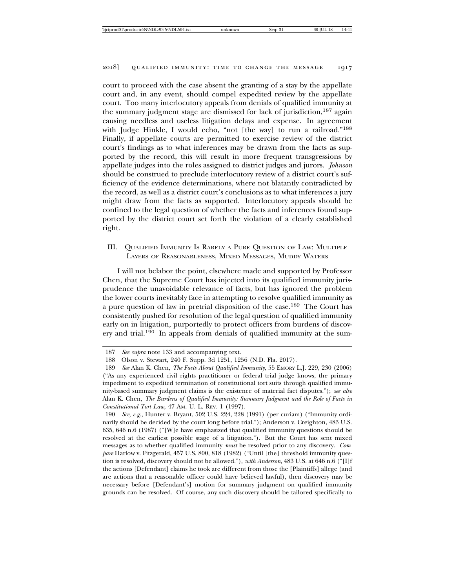court to proceed with the case absent the granting of a stay by the appellate court and, in any event, should compel expedited review by the appellate court. Too many interlocutory appeals from denials of qualified immunity at the summary judgment stage are dismissed for lack of jurisdiction,  $187$  again causing needless and useless litigation delays and expense. In agreement with Judge Hinkle, I would echo, "not [the way] to run a railroad."188 Finally, if appellate courts are permitted to exercise review of the district court's findings as to what inferences may be drawn from the facts as supported by the record, this will result in more frequent transgressions by appellate judges into the roles assigned to district judges and jurors. *Johnson* should be construed to preclude interlocutory review of a district court's sufficiency of the evidence determinations, where not blatantly contradicted by the record, as well as a district court's conclusions as to what inferences a jury might draw from the facts as supported. Interlocutory appeals should be confined to the legal question of whether the facts and inferences found supported by the district court set forth the violation of a clearly established right.

III. QUALIFIED IMMUNITY IS RARELY A PURE QUESTION OF LAW: MULTIPLE LAYERS OF REASONABLENESS, MIXED MESSAGES, MUDDY WATERS

I will not belabor the point, elsewhere made and supported by Professor Chen, that the Supreme Court has injected into its qualified immunity jurisprudence the unavoidable relevance of facts, but has ignored the problem the lower courts inevitably face in attempting to resolve qualified immunity as a pure question of law in pretrial disposition of the case.189 The Court has consistently pushed for resolution of the legal question of qualified immunity early on in litigation, purportedly to protect officers from burdens of discovery and trial.190 In appeals from denials of qualified immunity at the sum-

<sup>187</sup> *See supra* note 133 and accompanying text.

<sup>188</sup> Olson v. Stewart, 240 F. Supp. 3d 1251, 1256 (N.D. Fla. 2017).

<sup>189</sup> *See* Alan K. Chen, *The Facts About Qualified Immunity*, 55 EMORY L.J. 229, 230 (2006) ("As any experienced civil rights practitioner or federal trial judge knows, the primary impediment to expedited termination of constitutional tort suits through qualified immunity-based summary judgment claims is the existence of material fact disputes."); *see also* Alan K. Chen, *The Burdens of Qualified Immunity: Summary Judgment and the Role of Facts in Constitutional Tort Law*, 47 AM. U. L. REV. 1 (1997).

<sup>190</sup> *See, e.g.*, Hunter v. Bryant, 502 U.S. 224, 228 (1991) (per curiam) ("Immunity ordinarily should be decided by the court long before trial."); Anderson v. Creighton, 483 U.S. 635, 646 n.6 (1987) ("[W]e have emphasized that qualified immunity questions should be resolved at the earliest possible stage of a litigation."). But the Court has sent mixed messages as to whether qualified immunity *must* be resolved prior to any discovery. *Compare* Harlow v. Fitzgerald, 457 U.S. 800, 818 (1982) ("Until [the] threshold immunity question is resolved, discovery should not be allowed."), *with Anderson*, 483 U.S. at 646 n.6 ("[I]f the actions [Defendant] claims he took are different from those the [Plaintiffs] allege (and are actions that a reasonable officer could have believed lawful), then discovery may be necessary before [Defendant's] motion for summary judgment on qualified immunity grounds can be resolved. Of course, any such discovery should be tailored specifically to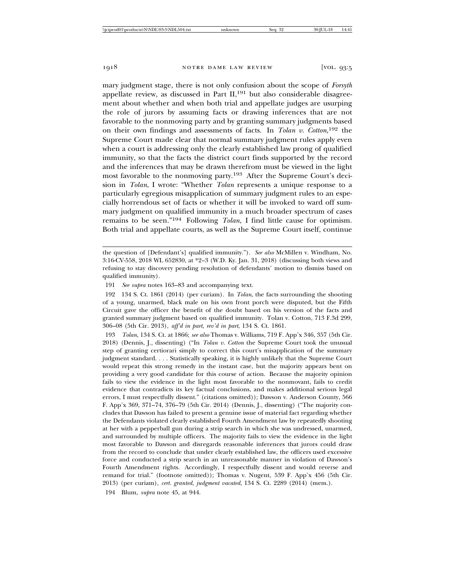mary judgment stage, there is not only confusion about the scope of *Forsyth* appellate review, as discussed in Part II,<sup>191</sup> but also considerable disagreement about whether and when both trial and appellate judges are usurping the role of jurors by assuming facts or drawing inferences that are not favorable to the nonmoving party and by granting summary judgments based on their own findings and assessments of facts. In *Tolan v. Cotton*, <sup>192</sup> the Supreme Court made clear that normal summary judgment rules apply even when a court is addressing only the clearly established law prong of qualified immunity, so that the facts the district court finds supported by the record and the inferences that may be drawn therefrom must be viewed in the light most favorable to the nonmoving party.193 After the Supreme Court's decision in *Tolan*, I wrote: "Whether *Tolan* represents a unique response to a particularly egregious misapplication of summary judgment rules to an especially horrendous set of facts or whether it will be invoked to ward off summary judgment on qualified immunity in a much broader spectrum of cases remains to be seen."194 Following *Tolan*, I find little cause for optimism. Both trial and appellate courts, as well as the Supreme Court itself, continue

191 *See supra* notes 163–83 and accompanying text.

193 *Tolan*, 134 S. Ct. at 1866; *see also* Thomas v. Williams, 719 F. App'x 346, 357 (5th Cir. 2018) (Dennis, J., dissenting) ("In *Tolan v. Cotton* the Supreme Court took the unusual step of granting certiorari simply to correct this court's misapplication of the summary judgment standard. . . . Statistically speaking, it is highly unlikely that the Supreme Court would repeat this strong remedy in the instant case, but the majority appears bent on providing a very good candidate for this course of action. Because the majority opinion fails to view the evidence in the light most favorable to the nonmovant, fails to credit evidence that contradicts its key factual conclusions, and makes additional serious legal errors, I must respectfully dissent." (citations omitted)); Dawson v. Anderson County, 566 F. App'x 369, 371–74, 376–79 (5th Cir. 2014) (Dennis, J., dissenting) ("The majority concludes that Dawson has failed to present a genuine issue of material fact regarding whether the Defendants violated clearly established Fourth Amendment law by repeatedly shooting at her with a pepperball gun during a strip search in which she was undressed, unarmed, and surrounded by multiple officers. The majority fails to view the evidence in the light most favorable to Dawson and disregards reasonable inferences that jurors could draw from the record to conclude that under clearly established law, the officers used excessive force and conducted a strip search in an unreasonable manner in violation of Dawson's Fourth Amendment rights. Accordingly, I respectfully dissent and would reverse and remand for trial." (footnote omitted)); Thomas v. Nugent, 539 F. App'x 456 (5th Cir. 2013) (per curiam), *cert. granted, judgment vacated*, 134 S. Ct. 2289 (2014) (mem.).

194 Blum, *supra* note 45, at 944.

the question of [Defendant's] qualified immunity."). *See also* McMillen v. Windham, No. 3:16-CV-558, 2018 WL 652830, at \*2–3 (W.D. Ky. Jan. 31, 2018) (discussing both views and refusing to stay discovery pending resolution of defendants' motion to dismiss based on qualified immunity).

<sup>192 134</sup> S. Ct. 1861 (2014) (per curiam). In *Tolan*, the facts surrounding the shooting of a young, unarmed, black male on his own front porch were disputed, but the Fifth Circuit gave the officer the benefit of the doubt based on his version of the facts and granted summary judgment based on qualified immunity. Tolan v. Cotton, 713 F.3d 299, 306–08 (5th Cir. 2013), *aff'd in part, rev'd in part*, 134 S. Ct. 1861.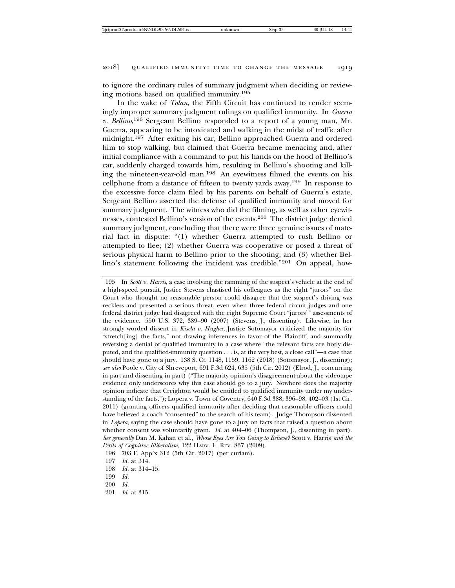to ignore the ordinary rules of summary judgment when deciding or reviewing motions based on qualified immunity.195

In the wake of *Tolan*, the Fifth Circuit has continued to render seemingly improper summary judgment rulings on qualified immunity. In *Guerra v. Bellino*, 196 Sergeant Bellino responded to a report of a young man, Mr. Guerra, appearing to be intoxicated and walking in the midst of traffic after midnight.197 After exiting his car, Bellino approached Guerra and ordered him to stop walking, but claimed that Guerra became menacing and, after initial compliance with a command to put his hands on the hood of Bellino's car, suddenly charged towards him, resulting in Bellino's shooting and killing the nineteen-year-old man.198 An eyewitness filmed the events on his cellphone from a distance of fifteen to twenty yards away.199 In response to the excessive force claim filed by his parents on behalf of Guerra's estate, Sergeant Bellino asserted the defense of qualified immunity and moved for summary judgment. The witness who did the filming, as well as other eyewitnesses, contested Bellino's version of the events.200 The district judge denied summary judgment, concluding that there were three genuine issues of material fact in dispute: "(1) whether Guerra attempted to rush Bellino or attempted to flee; (2) whether Guerra was cooperative or posed a threat of serious physical harm to Bellino prior to the shooting; and (3) whether Bellino's statement following the incident was credible."201 On appeal, how-

<sup>195</sup> In *Scott v. Harris*, a case involving the ramming of the suspect's vehicle at the end of a high-speed pursuit, Justice Stevens chastised his colleagues as the eight "jurors" on the Court who thought no reasonable person could disagree that the suspect's driving was reckless and presented a serious threat, even when three federal circuit judges and one federal district judge had disagreed with the eight Supreme Court "jurors'" assessments of the evidence. 550 U.S. 372, 389–90 (2007) (Stevens, J., dissenting). Likewise, in her strongly worded dissent in *Kisela v. Hughes*, Justice Sotomayor criticized the majority for "stretch[ing] the facts," not drawing inferences in favor of the Plaintiff, and summarily reversing a denial of qualified immunity in a case where "the relevant facts are hotly disputed, and the qualified-immunity question . . . is, at the very best, a close call"—a case that should have gone to a jury. 138 S. Ct. 1148, 1159, 1162 (2018) (Sotomayor, J., dissenting); *see also* Poole v. City of Shreveport, 691 F.3d 624, 635 (5th Cir. 2012) (Elrod, J., concurring in part and dissenting in part) ("The majority opinion's disagreement about the videotape evidence only underscores why this case should go to a jury. Nowhere does the majority opinion indicate that Creighton would be entitled to qualified immunity under my understanding of the facts."); Lopera v. Town of Coventry, 640 F.3d 388, 396–98, 402–03 (1st Cir. 2011) (granting officers qualified immunity after deciding that reasonable officers could have believed a coach "consented" to the search of his team). Judge Thompson dissented in *Lopera*, saying the case should have gone to a jury on facts that raised a question about whether consent was voluntarily given. *Id.* at 404–06 (Thompson, J., dissenting in part). *See generally* Dan M. Kahan et al., *Whose Eyes Are You Going to Believe?* Scott v. Harris *and the Perils of Cognitive Illiberalism*, 122 HARV. L. REV. 837 (2009).

<sup>196 703</sup> F. App'x 312 (5th Cir. 2017) (per curiam).

<sup>197</sup> *Id.* at 314.

<sup>198</sup> *Id.* at 314–15.

<sup>199</sup> *Id.*

<sup>200</sup> *Id.*

<sup>201</sup> *Id.* at 315.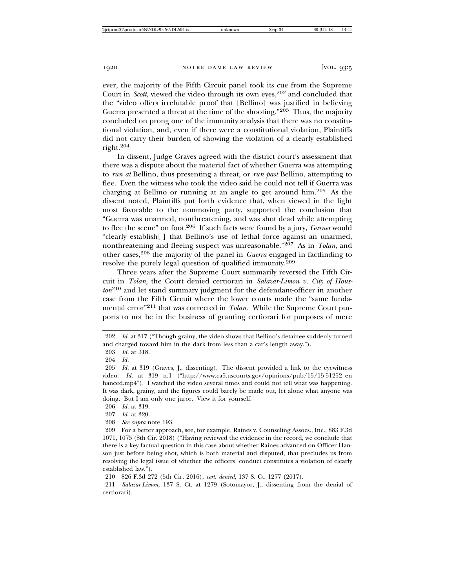ever, the majority of the Fifth Circuit panel took its cue from the Supreme Court in *Scott*, viewed the video through its own eyes,<sup>202</sup> and concluded that the "video offers irrefutable proof that [Bellino] was justified in believing Guerra presented a threat at the time of the shooting."203 Thus, the majority concluded on prong one of the immunity analysis that there was no constitutional violation, and, even if there were a constitutional violation, Plaintiffs did not carry their burden of showing the violation of a clearly established right.<sup>204</sup>

In dissent, Judge Graves agreed with the district court's assessment that there was a dispute about the material fact of whether Guerra was attempting to *run at* Bellino, thus presenting a threat, or *run past* Bellino, attempting to flee. Even the witness who took the video said he could not tell if Guerra was charging at Bellino or running at an angle to get around him.205 As the dissent noted, Plaintiffs put forth evidence that, when viewed in the light most favorable to the nonmoving party, supported the conclusion that "Guerra was unarmed, nonthreatening, and was shot dead while attempting to flee the scene" on foot.206 If such facts were found by a jury, *Garner* would "clearly establish[ ] that Bellino's use of lethal force against an unarmed, nonthreatening and fleeing suspect was unreasonable."207 As in *Tolan*, and other cases,208 the majority of the panel in *Guerra* engaged in factfinding to resolve the purely legal question of qualified immunity.209

Three years after the Supreme Court summarily reversed the Fifth Circuit in *Tolan*, the Court denied certiorari in *Salazar-Limon v. City of Houston*210 and let stand summary judgment for the defendant-officer in another case from the Fifth Circuit where the lower courts made the "same fundamental error"211 that was corrected in *Tolan*. While the Supreme Court purports to not be in the business of granting certiorari for purposes of mere

208 *See supra* note 193.

<sup>202</sup> *Id.* at 317 ("Though grainy, the video shows that Bellino's detainee suddenly turned and charged toward him in the dark from less than a car's length away.").

<sup>203</sup> *Id.* at 318.

<sup>204</sup> *Id.*

<sup>205</sup> *Id.* at 319 (Graves, J., dissenting). The dissent provided a link to the eyewitness video. *Id.* at 319 n.1 ("http://www.ca5.uscourts.gov/opinions/pub/15/15-51252\_en hanced.mp4"). I watched the video several times and could not tell what was happening. It was dark, grainy, and the figures could barely be made out, let alone what anyone was doing. But I am only one juror. View it for yourself.

<sup>206</sup> *Id.* at 319.

<sup>207</sup> *Id.* at 320.

<sup>209</sup> For a better approach, see, for example, Raines v. Counseling Assocs., Inc., 883 F.3d 1071, 1075 (8th Cir. 2018) ("Having reviewed the evidence in the record, we conclude that there is a key factual question in this case about whether Raines advanced on Officer Hanson just before being shot, which is both material and disputed, that precludes us from resolving the legal issue of whether the officers' conduct constitutes a violation of clearly established law.").

<sup>210 826</sup> F.3d 272 (5th Cir. 2016), *cert. denied*, 137 S. Ct. 1277 (2017).

<sup>211</sup> *Salazar-Limon*, 137 S. Ct. at 1279 (Sotomayor, J., dissenting from the denial of certiorari).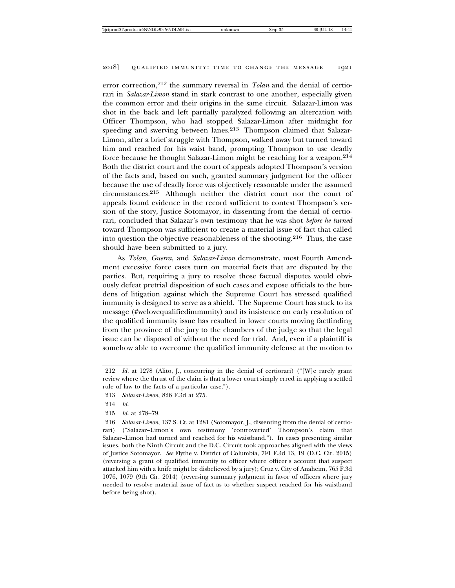error correction,<sup>212</sup> the summary reversal in *Tolan* and the denial of certiorari in *Salazar-Limon* stand in stark contrast to one another, especially given the common error and their origins in the same circuit. Salazar-Limon was shot in the back and left partially paralyzed following an altercation with Officer Thompson, who had stopped Salazar-Limon after midnight for speeding and swerving between lanes.<sup>213</sup> Thompson claimed that Salazar-Limon, after a brief struggle with Thompson, walked away but turned toward him and reached for his waist band, prompting Thompson to use deadly force because he thought Salazar-Limon might be reaching for a weapon.214 Both the district court and the court of appeals adopted Thompson's version of the facts and, based on such, granted summary judgment for the officer because the use of deadly force was objectively reasonable under the assumed circumstances.215 Although neither the district court nor the court of appeals found evidence in the record sufficient to contest Thompson's version of the story, Justice Sotomayor, in dissenting from the denial of certiorari, concluded that Salazar's own testimony that he was shot *before he turned* toward Thompson was sufficient to create a material issue of fact that called into question the objective reasonableness of the shooting.216 Thus, the case should have been submitted to a jury.

As *Tolan*, *Guerra*, and *Salazar-Limon* demonstrate, most Fourth Amendment excessive force cases turn on material facts that are disputed by the parties. But, requiring a jury to resolve those factual disputes would obviously defeat pretrial disposition of such cases and expose officials to the burdens of litigation against which the Supreme Court has stressed qualified immunity is designed to serve as a shield. The Supreme Court has stuck to its message (#welovequalifiedimmunity) and its insistence on early resolution of the qualified immunity issue has resulted in lower courts moving factfinding from the province of the jury to the chambers of the judge so that the legal issue can be disposed of without the need for trial. And, even if a plaintiff is somehow able to overcome the qualified immunity defense at the motion to

<sup>212</sup> *Id.* at 1278 (Alito, J., concurring in the denial of certiorari) ("[W]e rarely grant review where the thrust of the claim is that a lower court simply erred in applying a settled rule of law to the facts of a particular case.").

<sup>213</sup> *Salazar-Limon*, 826 F.3d at 275.

<sup>214</sup> *Id.*

<sup>215</sup> *Id.* at 278–79.

<sup>216</sup> *Salazar-Limon*, 137 S. Ct. at 1281 (Sotomayor, J., dissenting from the denial of certiorari) ("Salazar–Limon's own testimony 'controverted' Thompson's claim that Salazar–Limon had turned and reached for his waistband."). In cases presenting similar issues, both the Ninth Circuit and the D.C. Circuit took approaches aligned with the views of Justice Sotomayor. *See* Flythe v. District of Columbia, 791 F.3d 13, 19 (D.C. Cir. 2015) (reversing a grant of qualified immunity to officer where officer's account that suspect attacked him with a knife might be disbelieved by a jury); Cruz v. City of Anaheim, 765 F.3d 1076, 1079 (9th Cir. 2014) (reversing summary judgment in favor of officers where jury needed to resolve material issue of fact as to whether suspect reached for his waistband before being shot).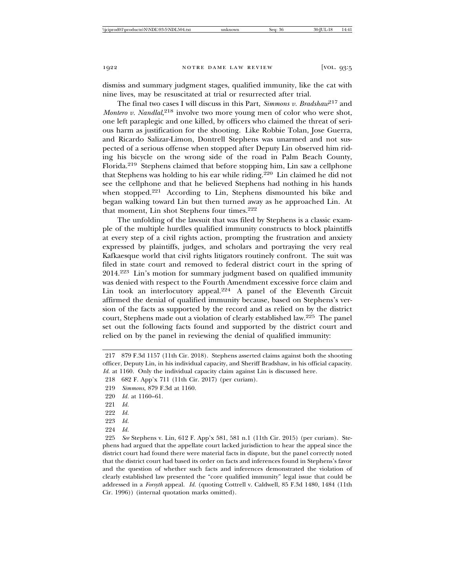dismiss and summary judgment stages, qualified immunity, like the cat with nine lives, may be resuscitated at trial or resurrected after trial.

The final two cases I will discuss in this Part, *Simmons v. Bradshaw*217 and *Montero v. Nandlal*, <sup>218</sup> involve two more young men of color who were shot, one left paraplegic and one killed, by officers who claimed the threat of serious harm as justification for the shooting. Like Robbie Tolan, Jose Guerra, and Ricardo Salizar-Limon, Dontrell Stephens was unarmed and not suspected of a serious offense when stopped after Deputy Lin observed him riding his bicycle on the wrong side of the road in Palm Beach County, Florida.219 Stephens claimed that before stopping him, Lin saw a cellphone that Stephens was holding to his ear while riding.220 Lin claimed he did not see the cellphone and that he believed Stephens had nothing in his hands when stopped.<sup>221</sup> According to Lin, Stephens dismounted his bike and began walking toward Lin but then turned away as he approached Lin. At that moment, Lin shot Stephens four times.<sup>222</sup>

The unfolding of the lawsuit that was filed by Stephens is a classic example of the multiple hurdles qualified immunity constructs to block plaintiffs at every step of a civil rights action, prompting the frustration and anxiety expressed by plaintiffs, judges, and scholars and portraying the very real Kafkaesque world that civil rights litigators routinely confront. The suit was filed in state court and removed to federal district court in the spring of 2014.223 Lin's motion for summary judgment based on qualified immunity was denied with respect to the Fourth Amendment excessive force claim and Lin took an interlocutory appeal.<sup>224</sup> A panel of the Eleventh Circuit affirmed the denial of qualified immunity because, based on Stephens's version of the facts as supported by the record and as relied on by the district court, Stephens made out a violation of clearly established law.225 The panel set out the following facts found and supported by the district court and relied on by the panel in reviewing the denial of qualified immunity:

224 *Id.*

<sup>217 879</sup> F.3d 1157 (11th Cir. 2018). Stephens asserted claims against both the shooting officer, Deputy Lin, in his individual capacity, and Sheriff Bradshaw, in his official capacity. *Id.* at 1160. Only the individual capacity claim against Lin is discussed here.

<sup>218 682</sup> F. App'x 711 (11th Cir. 2017) (per curiam).

<sup>219</sup> *Simmons*, 879 F.3d at 1160.

<sup>220</sup> *Id.* at 1160–61.

<sup>221</sup> *Id.*

<sup>222</sup> *Id.*

<sup>223</sup> *Id.*

<sup>225</sup> *See* Stephens v. Lin, 612 F. App'x 581, 581 n.1 (11th Cir. 2015) (per curiam). Stephens had argued that the appellate court lacked jurisdiction to hear the appeal since the district court had found there were material facts in dispute, but the panel correctly noted that the district court had based its order on facts and inferences found in Stephens's favor and the question of whether such facts and inferences demonstrated the violation of clearly established law presented the "core qualified immunity" legal issue that could be addressed in a *Forsyth* appeal. *Id.* (quoting Cottrell v. Caldwell, 85 F.3d 1480, 1484 (11th Cir. 1996)) (internal quotation marks omitted).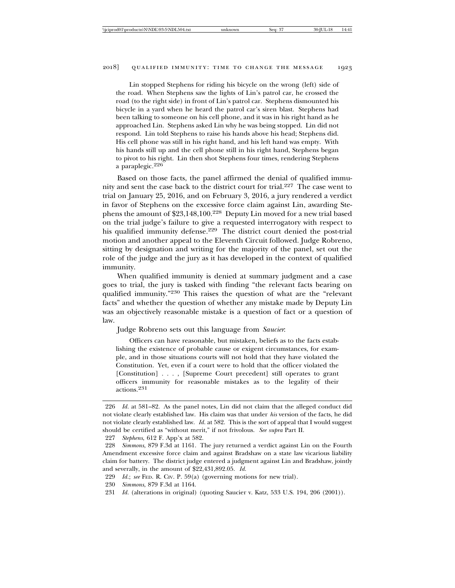Lin stopped Stephens for riding his bicycle on the wrong (left) side of the road. When Stephens saw the lights of Lin's patrol car, he crossed the road (to the right side) in front of Lin's patrol car. Stephens dismounted his bicycle in a yard when he heard the patrol car's siren blast. Stephens had been talking to someone on his cell phone, and it was in his right hand as he approached Lin. Stephens asked Lin why he was being stopped. Lin did not respond. Lin told Stephens to raise his hands above his head; Stephens did. His cell phone was still in his right hand, and his left hand was empty. With his hands still up and the cell phone still in his right hand, Stephens began to pivot to his right. Lin then shot Stephens four times, rendering Stephens a paraplegic.<sup>226</sup>

Based on those facts, the panel affirmed the denial of qualified immunity and sent the case back to the district court for trial.227 The case went to trial on January 25, 2016, and on February 3, 2016, a jury rendered a verdict in favor of Stephens on the excessive force claim against Lin, awarding Stephens the amount of \$23,148,100.228 Deputy Lin moved for a new trial based on the trial judge's failure to give a requested interrogatory with respect to his qualified immunity defense.<sup>229</sup> The district court denied the post-trial motion and another appeal to the Eleventh Circuit followed. Judge Robreno, sitting by designation and writing for the majority of the panel, set out the role of the judge and the jury as it has developed in the context of qualified immunity.

When qualified immunity is denied at summary judgment and a case goes to trial, the jury is tasked with finding "the relevant facts bearing on qualified immunity."230 This raises the question of what are the "relevant facts" and whether the question of whether any mistake made by Deputy Lin was an objectively reasonable mistake is a question of fact or a question of law.

Judge Robreno sets out this language from *Saucier*:

Officers can have reasonable, but mistaken, beliefs as to the facts establishing the existence of probable cause or exigent circumstances, for example, and in those situations courts will not hold that they have violated the Constitution. Yet, even if a court were to hold that the officer violated the [Constitution] . . . , [Supreme Court precedent] still operates to grant officers immunity for reasonable mistakes as to the legality of their actions.231

<sup>226</sup> *Id.* at 581–82. As the panel notes, Lin did not claim that the alleged conduct did not violate clearly established law. His claim was that under *his* version of the facts, he did not violate clearly established law. *Id.* at 582. This is the sort of appeal that I would suggest should be certified as "without merit," if not frivolous. *See supra* Part II.

<sup>227</sup> *Stephens*, 612 F. App'x at 582.

<sup>228</sup> *Simmons*, 879 F.3d at 1161. The jury returned a verdict against Lin on the Fourth Amendment excessive force claim and against Bradshaw on a state law vicarious liability claim for battery. The district judge entered a judgment against Lin and Bradshaw, jointly and severally, in the amount of \$22,431,892.05. *Id.*

<sup>229</sup> *Id.*; *see* FED. R. CIV. P. 59(a) (governing motions for new trial).

<sup>230</sup> *Simmons*, 879 F.3d at 1164.

<sup>231</sup> *Id.* (alterations in original) (quoting Saucier v. Katz, 533 U.S. 194, 206 (2001)).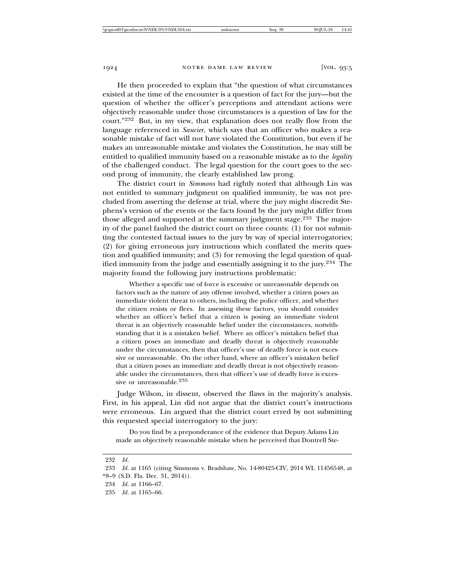He then proceeded to explain that "the question of what circumstances existed at the time of the encounter is a question of fact for the jury—but the question of whether the officer's perceptions and attendant actions were objectively reasonable under those circumstances is a question of law for the court."232 But, in my view, that explanation does not really flow from the language referenced in *Saucier*, which says that an officer who makes a reasonable mistake of fact will not have violated the Constitution, but even if he makes an unreasonable mistake and violates the Constitution, he may still be entitled to qualified immunity based on a reasonable mistake as to the *legality* of the challenged conduct. The legal question for the court goes to the second prong of immunity, the clearly established law prong.

The district court in *Simmons* had rightly noted that although Lin was not entitled to summary judgment on qualified immunity, he was not precluded from asserting the defense at trial, where the jury might discredit Stephens's version of the events or the facts found by the jury might differ from those alleged and supported at the summary judgment stage.<sup>233</sup> The majority of the panel faulted the district court on three counts: (1) for not submitting the contested factual issues to the jury by way of special interrogatories; (2) for giving erroneous jury instructions which conflated the merits question and qualified immunity; and (3) for removing the legal question of qualified immunity from the judge and essentially assigning it to the jury.234 The majority found the following jury instructions problematic:

Whether a specific use of force is excessive or unreasonable depends on factors such as the nature of any offense involved, whether a citizen poses an immediate violent threat to others, including the police officer, and whether the citizen resists or flees. In assessing these factors, you should consider whether an officer's belief that a citizen is posing an immediate violent threat is an objectively reasonable belief under the circumstances, notwithstanding that it is a mistaken belief. Where an officer's mistaken belief that a citizen poses an immediate and deadly threat is objectively reasonable under the circumstances, then that officer's use of deadly force is not excessive or unreasonable. On the other hand, where an officer's mistaken belief that a citizen poses an immediate and deadly threat is not objectively reasonable under the circumstances, then that officer's use of deadly force is excessive or unreasonable.<sup>235</sup>

Judge Wilson, in dissent, observed the flaws in the majority's analysis. First, in his appeal, Lin did not argue that the district court's instructions were erroneous. Lin argued that the district court erred by not submitting this requested special interrogatory to the jury:

Do you find by a preponderance of the evidence that Deputy Adams Lin made an objectively reasonable mistake when he perceived that Dontrell Ste-

<sup>232</sup> *Id.*

<sup>233</sup> *Id.* at 1165 (citing Simmons v. Bradshaw, No. 14-80425-CIV, 2014 WL 11456548, at \*8–9 (S.D. Fla. Dec. 31, 2014)).

<sup>234</sup> *Id.* at 1166–67.

<sup>235</sup> *Id.* at 1165–66.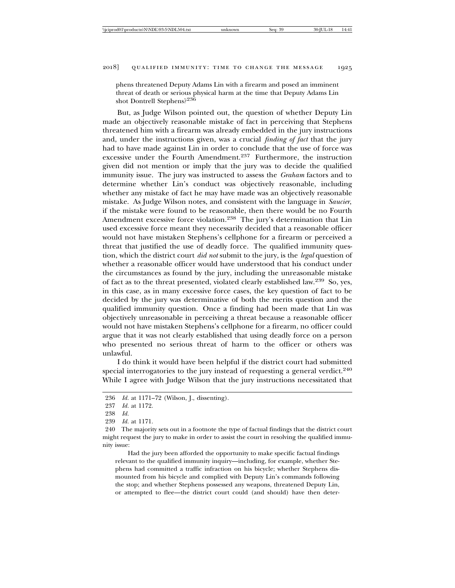phens threatened Deputy Adams Lin with a firearm and posed an imminent threat of death or serious physical harm at the time that Deputy Adams Lin shot Dontrell Stephens?236

But, as Judge Wilson pointed out, the question of whether Deputy Lin made an objectively reasonable mistake of fact in perceiving that Stephens threatened him with a firearm was already embedded in the jury instructions and, under the instructions given, was a crucial *finding of fact* that the jury had to have made against Lin in order to conclude that the use of force was excessive under the Fourth Amendment.237 Furthermore, the instruction given did not mention or imply that the jury was to decide the qualified immunity issue. The jury was instructed to assess the *Graham* factors and to determine whether Lin's conduct was objectively reasonable, including whether any mistake of fact he may have made was an objectively reasonable mistake. As Judge Wilson notes, and consistent with the language in *Saucier*, if the mistake were found to be reasonable, then there would be no Fourth Amendment excessive force violation.238 The jury's determination that Lin used excessive force meant they necessarily decided that a reasonable officer would not have mistaken Stephens's cellphone for a firearm or perceived a threat that justified the use of deadly force. The qualified immunity question, which the district court *did not* submit to the jury, is the *legal* question of whether a reasonable officer would have understood that his conduct under the circumstances as found by the jury, including the unreasonable mistake of fact as to the threat presented, violated clearly established law.239 So, yes, in this case, as in many excessive force cases, the key question of fact to be decided by the jury was determinative of both the merits question and the qualified immunity question. Once a finding had been made that Lin was objectively unreasonable in perceiving a threat because a reasonable officer would not have mistaken Stephens's cellphone for a firearm, no officer could argue that it was not clearly established that using deadly force on a person who presented no serious threat of harm to the officer or others was unlawful.

I do think it would have been helpful if the district court had submitted special interrogatories to the jury instead of requesting a general verdict.<sup>240</sup> While I agree with Judge Wilson that the jury instructions necessitated that

239 *Id.* at 1171.

Had the jury been afforded the opportunity to make specific factual findings relevant to the qualified immunity inquiry—including, for example, whether Stephens had committed a traffic infraction on his bicycle; whether Stephens dismounted from his bicycle and complied with Deputy Lin's commands following the stop; and whether Stephens possessed any weapons, threatened Deputy Lin, or attempted to flee—the district court could (and should) have then deter-

<sup>236</sup> *Id.* at 1171–72 (Wilson, J., dissenting).

<sup>237</sup> *Id.* at 1172.

<sup>238</sup> *Id.*

<sup>240</sup> The majority sets out in a footnote the type of factual findings that the district court might request the jury to make in order to assist the court in resolving the qualified immunity issue: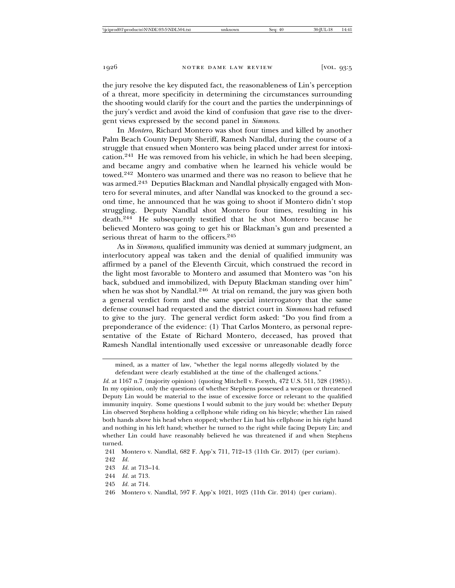the jury resolve the key disputed fact, the reasonableness of Lin's perception of a threat, more specificity in determining the circumstances surrounding the shooting would clarify for the court and the parties the underpinnings of the jury's verdict and avoid the kind of confusion that gave rise to the divergent views expressed by the second panel in *Simmons*.

In *Montero*, Richard Montero was shot four times and killed by another Palm Beach County Deputy Sheriff, Ramesh Nandlal, during the course of a struggle that ensued when Montero was being placed under arrest for intoxication.241 He was removed from his vehicle, in which he had been sleeping, and became angry and combative when he learned his vehicle would be towed.242 Montero was unarmed and there was no reason to believe that he was armed.243 Deputies Blackman and Nandlal physically engaged with Montero for several minutes, and after Nandlal was knocked to the ground a second time, he announced that he was going to shoot if Montero didn't stop struggling. Deputy Nandlal shot Montero four times, resulting in his death.244 He subsequently testified that he shot Montero because he believed Montero was going to get his or Blackman's gun and presented a serious threat of harm to the officers.<sup>245</sup>

As in *Simmons*, qualified immunity was denied at summary judgment, an interlocutory appeal was taken and the denial of qualified immunity was affirmed by a panel of the Eleventh Circuit, which construed the record in the light most favorable to Montero and assumed that Montero was "on his back, subdued and immobilized, with Deputy Blackman standing over him" when he was shot by Nandlal.<sup>246</sup> At trial on remand, the jury was given both a general verdict form and the same special interrogatory that the same defense counsel had requested and the district court in *Simmons* had refused to give to the jury. The general verdict form asked: "Do you find from a preponderance of the evidence: (1) That Carlos Montero, as personal representative of the Estate of Richard Montero, deceased, has proved that Ramesh Nandlal intentionally used excessive or unreasonable deadly force

mined, as a matter of law, "whether the legal norms allegedly violated by the defendant were clearly established at the time of the challenged actions."

*Id.* at 1167 n.7 (majority opinion) (quoting Mitchell v. Forsyth, 472 U.S. 511, 528 (1985)). In my opinion, only the questions of whether Stephens possessed a weapon or threatened Deputy Lin would be material to the issue of excessive force or relevant to the qualified immunity inquiry. Some questions I would submit to the jury would be: whether Deputy Lin observed Stephens holding a cellphone while riding on his bicycle; whether Lin raised both hands above his head when stopped; whether Lin had his cellphone in his right hand and nothing in his left hand; whether he turned to the right while facing Deputy Lin; and whether Lin could have reasonably believed he was threatened if and when Stephens turned.

<sup>241</sup> Montero v. Nandlal, 682 F. App'x 711, 712–13 (11th Cir. 2017) (per curiam).

<sup>242</sup> *Id.*

<sup>243</sup> *Id.* at 713–14.

<sup>244</sup> *Id.* at 713.

<sup>245</sup> *Id.* at 714.

<sup>246</sup> Montero v. Nandlal, 597 F. App'x 1021, 1025 (11th Cir. 2014) (per curiam).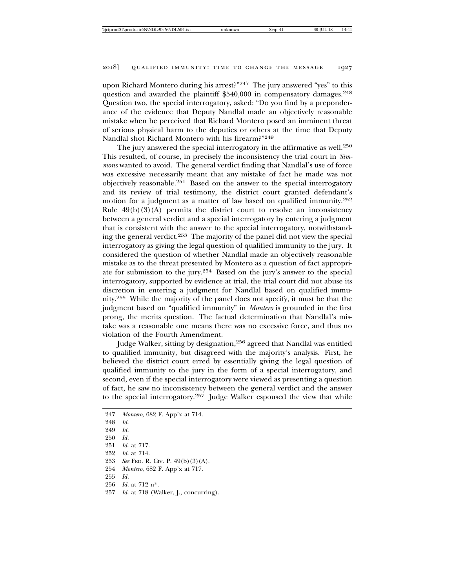upon Richard Montero during his arrest?"<sup>247</sup> The jury answered "yes" to this question and awarded the plaintiff \$540,000 in compensatory damages.<sup>248</sup> Question two, the special interrogatory, asked: "Do you find by a preponderance of the evidence that Deputy Nandlal made an objectively reasonable mistake when he perceived that Richard Montero posed an imminent threat of serious physical harm to the deputies or others at the time that Deputy Nandlal shot Richard Montero with his firearm?"249

The jury answered the special interrogatory in the affirmative as well.<sup>250</sup> This resulted, of course, in precisely the inconsistency the trial court in *Simmons* wanted to avoid. The general verdict finding that Nandlal's use of force was excessive necessarily meant that any mistake of fact he made was not objectively reasonable.251 Based on the answer to the special interrogatory and its review of trial testimony, the district court granted defendant's motion for a judgment as a matter of law based on qualified immunity.252 Rule  $49(b)(3)(A)$  permits the district court to resolve an inconsistency between a general verdict and a special interrogatory by entering a judgment that is consistent with the answer to the special interrogatory, notwithstanding the general verdict.253 The majority of the panel did not view the special interrogatory as giving the legal question of qualified immunity to the jury. It considered the question of whether Nandlal made an objectively reasonable mistake as to the threat presented by Montero as a question of fact appropriate for submission to the jury.254 Based on the jury's answer to the special interrogatory, supported by evidence at trial, the trial court did not abuse its discretion in entering a judgment for Nandlal based on qualified immunity.255 While the majority of the panel does not specify, it must be that the judgment based on "qualified immunity" in *Montero* is grounded in the first prong, the merits question. The factual determination that Nandlal's mistake was a reasonable one means there was no excessive force, and thus no violation of the Fourth Amendment.

Judge Walker, sitting by designation,<sup>256</sup> agreed that Nandlal was entitled to qualified immunity, but disagreed with the majority's analysis. First, he believed the district court erred by essentially giving the legal question of qualified immunity to the jury in the form of a special interrogatory, and second, even if the special interrogatory were viewed as presenting a question of fact, he saw no inconsistency between the general verdict and the answer to the special interrogatory.257 Judge Walker espoused the view that while

```
247 Montero, 682 F. App'x at 714.
248 Id.
249 Id.
250 Id.
251 Id. at 717.
252 Id. at 714.
253 See FED. R. CIV. P. 49(b)(3)(A).
254 Montero, 682 F. App'x at 717.
255 Id.
256 Id. at 712 n*.
257 Id. at 718 (Walker, J., concurring).
```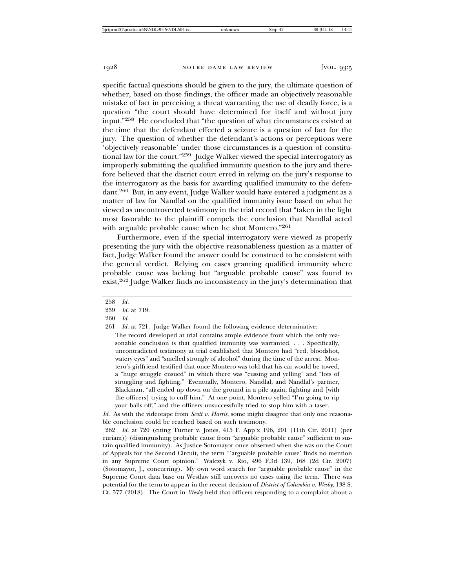specific factual questions should be given to the jury, the ultimate question of whether, based on those findings, the officer made an objectively reasonable mistake of fact in perceiving a threat warranting the use of deadly force, is a question "the court should have determined for itself and without jury input."258 He concluded that "the question of what circumstances existed at the time that the defendant effected a seizure is a question of fact for the jury. The question of whether the defendant's actions or perceptions were 'objectively reasonable' under those circumstances is a question of constitutional law for the court."259 Judge Walker viewed the special interrogatory as improperly submitting the qualified immunity question to the jury and therefore believed that the district court erred in relying on the jury's response to the interrogatory as the basis for awarding qualified immunity to the defendant.260 But, in any event, Judge Walker would have entered a judgment as a matter of law for Nandlal on the qualified immunity issue based on what he viewed as uncontroverted testimony in the trial record that "taken in the light most favorable to the plaintiff compels the conclusion that Nandlal acted with arguable probable cause when he shot Montero."261

Furthermore, even if the special interrogatory were viewed as properly presenting the jury with the objective reasonableness question as a matter of fact, Judge Walker found the answer could be construed to be consistent with the general verdict. Relying on cases granting qualified immunity where probable cause was lacking but "arguable probable cause" was found to exist,262 Judge Walker finds no inconsistency in the jury's determination that

260 *Id.*

261 *Id.* at 721. Judge Walker found the following evidence determinative:

The record developed at trial contains ample evidence from which the only reasonable conclusion is that qualified immunity was warranted. . . . Specifically, uncontradicted testimony at trial established that Montero had "red, bloodshot, watery eyes" and "smelled strongly of alcohol" during the time of the arrest. Montero's girlfriend testified that once Montero was told that his car would be towed, a "huge struggle ensued" in which there was "cussing and yelling" and "lots of struggling and fighting." Eventually, Montero, Nandlal, and Nandlal's partner, Blackman, "all ended up down on the ground in a pile again, fighting and [with the officers] trying to cuff him." At one point, Montero yelled "I'm going to rip your balls off," and the officers unsuccessfully tried to stop him with a taser.

*Id.* As with the videotape from *Scott v. Harris*, some might disagree that only one reasonable conclusion could be reached based on such testimony.

262 *Id.* at 720 (citing Turner v. Jones, 415 F. App'x 196, 201 (11th Cir. 2011) (per curiam)) (distinguishing probable cause from "arguable probable cause" sufficient to sustain qualified immunity). As Justice Sotomayor once observed when she was on the Court of Appeals for the Second Circuit, the term "'arguable probable cause' finds no mention in any Supreme Court opinion." Walczyk v. Rio, 496 F.3d 139, 168 (2d Cir. 2007) (Sotomayor, J., concurring). My own word search for "arguable probable cause" in the Supreme Court data base on Westlaw still uncovers no cases using the term. There was potential for the term to appear in the recent decision of *District of Columbia v. Wesby*, 138 S. Ct. 577 (2018). The Court in *Wesby* held that officers responding to a complaint about a

<sup>258</sup> *Id.*

<sup>259</sup> *Id.* at 719.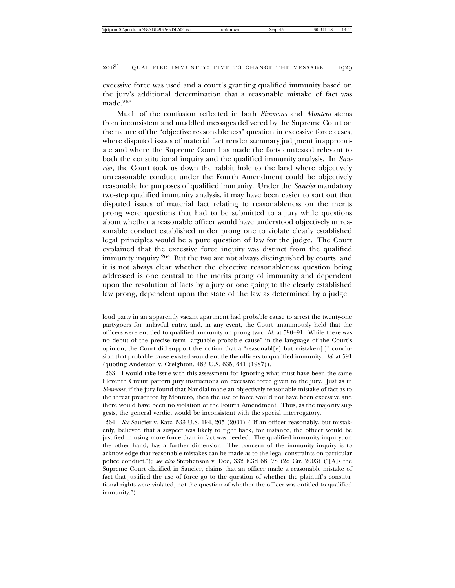excessive force was used and a court's granting qualified immunity based on the jury's additional determination that a reasonable mistake of fact was made.<sup>263</sup>

Much of the confusion reflected in both *Simmons* and *Montero* stems from inconsistent and muddled messages delivered by the Supreme Court on the nature of the "objective reasonableness" question in excessive force cases, where disputed issues of material fact render summary judgment inappropriate and where the Supreme Court has made the facts contested relevant to both the constitutional inquiry and the qualified immunity analysis. In *Saucier*, the Court took us down the rabbit hole to the land where objectively unreasonable conduct under the Fourth Amendment could be objectively reasonable for purposes of qualified immunity. Under the *Saucier* mandatory two-step qualified immunity analysis, it may have been easier to sort out that disputed issues of material fact relating to reasonableness on the merits prong were questions that had to be submitted to a jury while questions about whether a reasonable officer would have understood objectively unreasonable conduct established under prong one to violate clearly established legal principles would be a pure question of law for the judge. The Court explained that the excessive force inquiry was distinct from the qualified immunity inquiry.264 But the two are not always distinguished by courts, and it is not always clear whether the objective reasonableness question being addressed is one central to the merits prong of immunity and dependent upon the resolution of facts by a jury or one going to the clearly established law prong, dependent upon the state of the law as determined by a judge.

264 *See* Saucier v. Katz, 533 U.S. 194, 205 (2001) ("If an officer reasonably, but mistakenly, believed that a suspect was likely to fight back, for instance, the officer would be justified in using more force than in fact was needed. The qualified immunity inquiry, on the other hand, has a further dimension. The concern of the immunity inquiry is to acknowledge that reasonable mistakes can be made as to the legal constraints on particular police conduct."); *see also* Stephenson v. Doe, 332 F.3d 68, 78 (2d Cir. 2003) ("[A]s the Supreme Court clarified in Saucier, claims that an officer made a reasonable mistake of fact that justified the use of force go to the question of whether the plaintiff's constitutional rights were violated, not the question of whether the officer was entitled to qualified immunity.").

loud party in an apparently vacant apartment had probable cause to arrest the twenty-one partygoers for unlawful entry, and, in any event, the Court unanimously held that the officers were entitled to qualified immunity on prong two. *Id.* at 590–91. While there was no debut of the precise term "arguable probable cause" in the language of the Court's opinion, the Court did support the notion that a "reasonabl[e] but mistaken[ ]" conclusion that probable cause existed would entitle the officers to qualified immunity. *Id.* at 591 (quoting Anderson v. Creighton, 483 U.S. 635, 641 (1987)).

<sup>263</sup> I would take issue with this assessment for ignoring what must have been the same Eleventh Circuit pattern jury instructions on excessive force given to the jury. Just as in *Simmons*, if the jury found that Nandlal made an objectively reasonable mistake of fact as to the threat presented by Montero, then the use of force would not have been excessive and there would have been no violation of the Fourth Amendment. Thus, as the majority suggests, the general verdict would be inconsistent with the special interrogatory.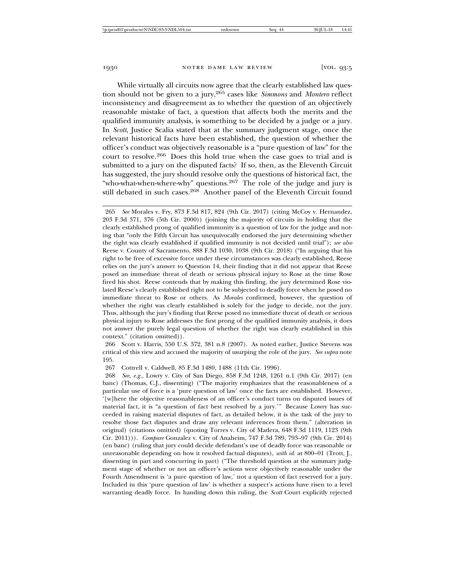While virtually all circuits now agree that the clearly established law question should not be given to a jury,265 cases like *Simmons* and *Montero* reflect inconsistency and disagreement as to whether the question of an objectively reasonable mistake of fact, a question that affects both the merits and the qualified immunity analysis, is something to be decided by a judge or a jury. In *Scott*, Justice Scalia stated that at the summary judgment stage, once the relevant historical facts have been established, the question of whether the officer's conduct was objectively reasonable is a "pure question of law" for the court to resolve.266 Does this hold true when the case goes to trial and is submitted to a jury on the disputed facts? If so, then, as the Eleventh Circuit has suggested, the jury should resolve only the questions of historical fact, the "who-what-when-where-why" questions.267 The role of the judge and jury is still debated in such cases.<sup>268</sup> Another panel of the Eleventh Circuit found

265 *See* Morales v. Fry, 873 F.3d 817, 824 (9th Cir. 2017) (citing McCoy v. Hernandez, 203 F.3d 371, 376 (5th Cir. 2000)) (joining the majority of circuits in holding that the clearly established prong of qualified immunity is a question of law for the judge and noting that "only the Fifth Circuit has unequivocally endorsed the jury determining whether the right was clearly established if qualified immunity is not decided until trial"); *see also* Reese v. County of Sacramento, 888 F.3d 1030, 1038 (9th Cir. 2018) ("In arguing that his right to be free of excessive force under these circumstances was clearly established, Reese relies on the jury's answer to Question 14, their finding that it did not appear that Reese posed an immediate threat of death or serious physical injury to Rose at the time Rose fired his shot. Reese contends that by making this finding, the jury determined Rose violated Reese's clearly established right not to be subjected to deadly force when he posed no immediate threat to Rose or others. As *Morales* confirmed, however, the question of whether the right was clearly established is solely for the judge to decide, not the jury. Thus, although the jury's finding that Reese posed no immediate threat of death or serious physical injury to Rose addresses the first prong of the qualified immunity analysis, it does not answer the purely legal question of whether the right was clearly established in this context." (citation omitted)).

266 Scott v. Harris, 550 U.S. 372, 381 n.8 (2007). As noted earlier, Justice Stevens was critical of this view and accused the majority of usurping the role of the jury. *See supra* note 195.

267 Cottrell v. Caldwell, 85 F.3d 1480, 1488 (11th Cir. 1996).

268 *See, e.g.*, Lowry v. City of San Diego, 858 F.3d 1248, 1261 n.1 (9th Cir. 2017) (en banc) (Thomas, C.J., dissenting) ("The majority emphasizes that the reasonableness of a particular use of force is a 'pure question of law' once the facts are established. However, '[w]here the objective reasonableness of an officer's conduct turns on disputed issues of material fact, it is "a question of fact best resolved by a jury.'" Because Lowry has succeeded in raising material disputes of fact, as detailed below, it is the task of the jury to resolve those fact disputes and draw any relevant inferences from them." (alteration in original) (citations omitted) (quoting Torres v. City of Madera, 648 F.3d 1119, 1123 (9th Cir. 2011))). *Compare* Gonzalez v. City of Anaheim, 747 F.3d 789, 793–97 (9th Cir. 2014) (en banc) (ruling that jury could decide defendant's use of deadly force was reasonable or unreasonable depending on how it resolved factual disputes), *with id.* at 800–01 (Trott, J., dissenting in part and concurring in part) ("The threshold question at the summary judgment stage of whether or not an officer's actions were objectively reasonable under the Fourth Amendment is 'a pure question of law,' not a question of fact reserved for a jury. Included in this 'pure question of law' is whether a suspect's actions have risen to a level warranting deadly force. In handing down this ruling, the *Scott* Court explicitly rejected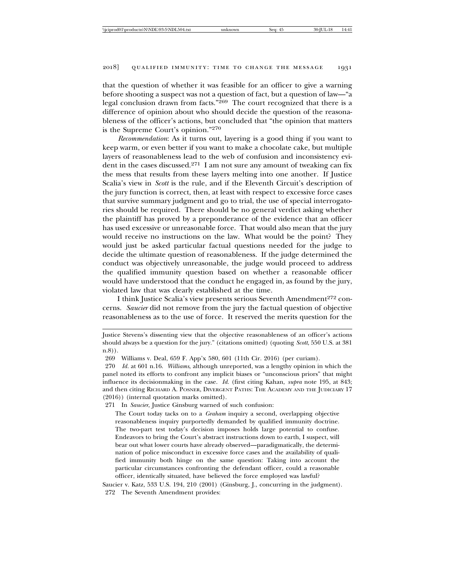that the question of whether it was feasible for an officer to give a warning before shooting a suspect was not a question of fact, but a question of law—"a legal conclusion drawn from facts."269 The court recognized that there is a difference of opinion about who should decide the question of the reasonableness of the officer's actions, but concluded that "the opinion that matters is the Supreme Court's opinion."270

*Recommendation*: As it turns out, layering is a good thing if you want to keep warm, or even better if you want to make a chocolate cake, but multiple layers of reasonableness lead to the web of confusion and inconsistency evident in the cases discussed.<sup>271</sup> I am not sure any amount of tweaking can fix the mess that results from these layers melting into one another. If Justice Scalia's view in *Scott* is the rule, and if the Eleventh Circuit's description of the jury function is correct, then, at least with respect to excessive force cases that survive summary judgment and go to trial, the use of special interrogatories should be required. There should be no general verdict asking whether the plaintiff has proved by a preponderance of the evidence that an officer has used excessive or unreasonable force. That would also mean that the jury would receive no instructions on the law. What would be the point? They would just be asked particular factual questions needed for the judge to decide the ultimate question of reasonableness. If the judge determined the conduct was objectively unreasonable, the judge would proceed to address the qualified immunity question based on whether a reasonable officer would have understood that the conduct he engaged in, as found by the jury, violated law that was clearly established at the time.

I think Justice Scalia's view presents serious Seventh Amendment<sup>272</sup> concerns. *Saucier* did not remove from the jury the factual question of objective reasonableness as to the use of force. It reserved the merits question for the

271 In *Saucier*, Justice Ginsburg warned of such confusion:

The Court today tacks on to a *Graham* inquiry a second, overlapping objective reasonableness inquiry purportedly demanded by qualified immunity doctrine. The two-part test today's decision imposes holds large potential to confuse. Endeavors to bring the Court's abstract instructions down to earth, I suspect, will bear out what lower courts have already observed—paradigmatically, the determination of police misconduct in excessive force cases and the availability of qualified immunity both hinge on the same question: Taking into account the particular circumstances confronting the defendant officer, could a reasonable officer, identically situated, have believed the force employed was lawful?

Justice Stevens's dissenting view that the objective reasonableness of an officer's actions should always be a question for the jury." (citations omitted) (quoting *Scott*, 550 U.S. at 381 n.8)).

<sup>269</sup> Williams v. Deal, 659 F. App'x 580, 601 (11th Cir. 2016) (per curiam).

<sup>270</sup> *Id.* at 601 n.16. *Williams*, although unreported, was a lengthy opinion in which the panel noted its efforts to confront any implicit biases or "unconscious priors" that might influence its decisionmaking in the case. *Id.* (first citing Kahan, *supra* note 195, at 843; and then citing RICHARD A. POSNER, DIVERGENT PATHS: THE ACADEMY AND THE JUDICIARY 17 (2016)) (internal quotation marks omitted).

Saucier v. Katz, 533 U.S. 194, 210 (2001) (Ginsburg, J., concurring in the judgment). 272 The Seventh Amendment provides: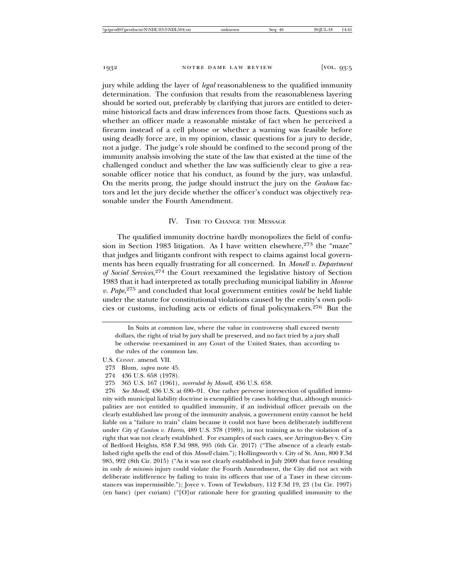jury while adding the layer of *legal* reasonableness to the qualified immunity determination. The confusion that results from the reasonableness layering should be sorted out, preferably by clarifying that jurors are entitled to determine historical facts and draw inferences from those facts. Questions such as whether an officer made a reasonable mistake of fact when he perceived a firearm instead of a cell phone or whether a warning was feasible before using deadly force are, in my opinion, classic questions for a jury to decide, not a judge. The judge's role should be confined to the second prong of the immunity analysis involving the state of the law that existed at the time of the challenged conduct and whether the law was sufficiently clear to give a reasonable officer notice that his conduct, as found by the jury, was unlawful. On the merits prong, the judge should instruct the jury on the *Graham* factors and let the jury decide whether the officer's conduct was objectively reasonable under the Fourth Amendment.

#### IV. TIME TO CHANGE THE MESSAGE

The qualified immunity doctrine hardly monopolizes the field of confusion in Section 1983 litigation. As I have written elsewhere,  $273$  the "maze" that judges and litigants confront with respect to claims against local governments has been equally frustrating for all concerned. In *Monell v. Department of Social Services*, 274 the Court reexamined the legislative history of Section 1983 that it had interpreted as totally precluding municipal liability in *Monroe v. Pape*, <sup>275</sup> and concluded that local government entities *could* be held liable under the statute for constitutional violations caused by the entity's own policies or customs, including acts or edicts of final policymakers.276 But the

In Suits at common law, where the value in controversy shall exceed twenty dollars, the right of trial by jury shall be preserved, and no fact tried by a jury shall be otherwise re-examined in any Court of the United States, than according to the rules of the common law.

U.S. CONST. amend. VII.

<sup>273</sup> Blum, *supra* note 45.

<sup>274 436</sup> U.S. 658 (1978).

<sup>275 365</sup> U.S. 167 (1961), *overruled by Monell*, 436 U.S. 658.

<sup>276</sup> *See Monell*, 436 U.S. at 690–91. One rather perverse intersection of qualified immunity with municipal liability doctrine is exemplified by cases holding that, although municipalities are not entitled to qualified immunity, if an individual officer prevails on the clearly established law prong of the immunity analysis, a government entity cannot be held liable on a "failure to train" claim because it could not have been deliberately indifferent under *City of Canton v. Harris*, 489 U.S. 378 (1989), in not training as to the violation of a right that was not clearly established. For examples of such cases, see Arrington-Bey v. City of Bedford Heights, 858 F.3d 988, 995 (6th Cir. 2017) ("The absence of a clearly established right spells the end of this *Monell* claim."); Hollingsworth v. City of St. Ann, 800 F.3d 985, 992 (8th Cir. 2015) ("As it was not clearly established in July 2009 that force resulting in only *de minimis* injury could violate the Fourth Amendment, the City did not act with deliberate indifference by failing to train its officers that use of a Taser in these circumstances was impermissible."); Joyce v. Town of Tewksbury, 112 F.3d 19, 23 (1st Cir. 1997)  $($ en banc) (per curiam)  $($ " $[O]$ ur rationale here for granting qualified immunity to the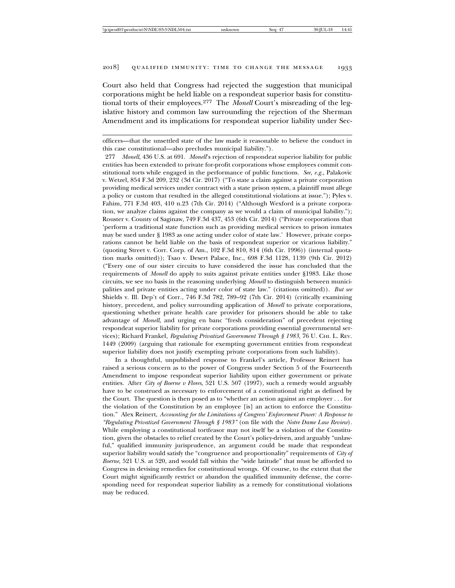Court also held that Congress had rejected the suggestion that municipal corporations might be held liable on a respondeat superior basis for constitutional torts of their employees.277 The *Monell* Court's misreading of the legislative history and common law surrounding the rejection of the Sherman Amendment and its implications for respondeat superior liability under Sec-

277 *Monell*, 436 U.S. at 691. *Monell*'s rejection of respondeat superior liability for public entities has been extended to private for-profit corporations whose employees commit constitutional torts while engaged in the performance of public functions. *See, e.g.*, Palakovic v. Wetzel, 854 F.3d 209, 232 (3d Cir. 2017) ("To state a claim against a private corporation providing medical services under contract with a state prison system, a plaintiff must allege a policy or custom that resulted in the alleged constitutional violations at issue."); Pyles v. Fahim, 771 F.3d 403, 410 n.23 (7th Cir. 2014) ("Although Wexford is a private corporation, we analyze claims against the company as we would a claim of municipal liability."); Rouster v. County of Saginaw, 749 F.3d 437, 453 (6th Cir. 2014) ("Private corporations that 'perform a traditional state function such as providing medical services to prison inmates may be sued under § 1983 as one acting under color of state law.' However, private corporations cannot be held liable on the basis of respondeat superior or vicarious liability." (quoting Street v. Corr. Corp. of Am., 102 F.3d 810, 814 (6th Cir. 1996)) (internal quotation marks omitted)); Tsao v. Desert Palace, Inc., 698 F.3d 1128, 1139 (9th Cir. 2012) ("Every one of our sister circuits to have considered the issue has concluded that the requirements of *Monell* do apply to suits against private entities under §1983. Like those circuits, we see no basis in the reasoning underlying *Monell* to distinguish between municipalities and private entities acting under color of state law." (citations omitted)). *But see* Shields v. Ill. Dep't of Corr., 746 F.3d 782, 789–92 (7th Cir. 2014) (critically examining history, precedent, and policy surrounding application of *Monell* to private corporations, questioning whether private health care provider for prisoners should be able to take advantage of *Monell*, and urging en banc "fresh consideration" of precedent rejecting respondeat superior liability for private corporations providing essential governmental services); Richard Frankel, *Regulating Privatized Government Through § 1983*, 76 U. CHI. L. REV. 1449 (2009) (arguing that rationale for exempting government entities from respondeat superior liability does not justify exempting private corporations from such liability).

In a thoughtful, unpublished response to Frankel's article, Professor Reinert has raised a serious concern as to the power of Congress under Section 5 of the Fourteenth Amendment to impose respondeat superior liability upon either government or private entities. After *City of Boerne v Flores*, 521 U.S. 507 (1997), such a remedy would arguably have to be construed as necessary to enforcement of a constitutional right as defined by the Court. The question is then posed as to "whether an action against an employer . . . for the violation of the Constitution by an employee [is] an action to enforce the Constitution." Alex Reinert, *Accounting for the Limitations of Congress' Enforcement Power: A Response to "Regulating Privatized Government Through § 1983"* (on file with the *Notre Dame Law Review*). While employing a constitutional tortfeasor may not itself be a violation of the Constitution, given the obstacles to relief created by the Court's policy-driven, and arguably "unlawful," qualified immunity jurisprudence, an argument could be made that respondeat superior liability would satisfy the "congruence and proportionality" requirements of *City of Boerne*, 521 U.S. at 520, and would fall within the "wide latitude" that must be afforded to Congress in devising remedies for constitutional wrongs. Of course, to the extent that the Court might significantly restrict or abandon the qualified immunity defense, the corresponding need for respondeat superior liability as a remedy for constitutional violations may be reduced.

officers—that the unsettled state of the law made it reasonable to believe the conduct in this case constitutional—also precludes municipal liability.").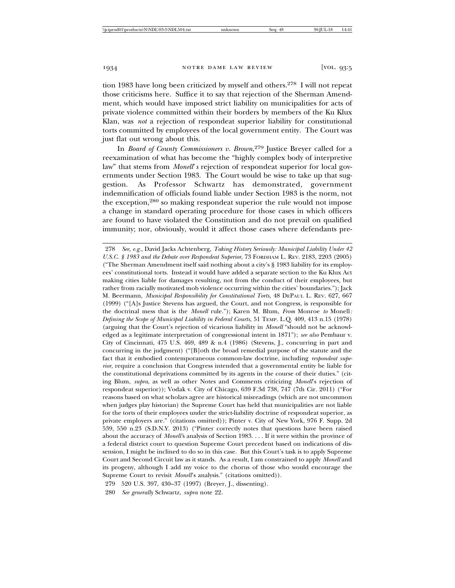tion 1983 have long been criticized by myself and others.278 I will not repeat those criticisms here. Suffice it to say that rejection of the Sherman Amendment, which would have imposed strict liability on municipalities for acts of private violence committed within their borders by members of the Ku Klux Klan, was *not* a rejection of respondeat superior liability for constitutional torts committed by employees of the local government entity. The Court was just flat out wrong about this.

In *Board of County Commissioners v. Brown*, 279 Justice Breyer called for a reexamination of what has become the "highly complex body of interpretive law" that stems from *Monell*'*s* rejection of respondeat superior for local governments under Section 1983. The Court would be wise to take up that suggestion. As Professor Schwartz has demonstrated, government indemnification of officials found liable under Section 1983 is the norm, not the exception,280 so making respondeat superior the rule would not impose a change in standard operating procedure for those cases in which officers are found to have violated the Constitution and do not prevail on qualified immunity; nor, obviously, would it affect those cases where defendants pre-

<sup>278</sup> *See, e.g.*, David Jacks Achtenberg, *Taking History Seriously: Municipal Liability Under 42 U.S.C. § 1983 and the Debate over Respondeat Superior*, 73 FORDHAM L. REV. 2183, 2203 (2005) ("The Sherman Amendment itself said nothing about a city's § 1983 liability for its employees' constitutional torts. Instead it would have added a separate section to the Ku Klux Act making cities liable for damages resulting, not from the conduct of their employees, but rather from racially motivated mob violence occurring within the cities' boundaries."); Jack M. Beermann, *Municipal Responsibility for Constitutional Torts*, 48 DEPAUL L. REV. 627, 667 (1999) ("[A]s Justice Stevens has argued, the Court, and not Congress, is responsible for the doctrinal mess that is the *Monell* rule."); Karen M. Blum, *From* Monroe *to* Monell*: Defining the Scope of Municipal Liability in Federal Courts*, 51 TEMP. L.Q. 409, 413 n.15 (1978) (arguing that the Court's rejection of vicarious liability in *Monell* "should not be acknowledged as a legitimate interpretation of congressional intent in 1871"); *see also* Pembaur v. City of Cincinnati, 475 U.S. 469, 489 & n.4 (1986) (Stevens, J., concurring in part and concurring in the judgment) ("[B]oth the broad remedial purpose of the statute and the fact that it embodied contemporaneous common-law doctrine, including *respondeat superior*, require a conclusion that Congress intended that a governmental entity be liable for the constitutional deprivations committed by its agents in the course of their duties." (citing Blum, *supra*, as well as other Notes and Comments criticizing *Monell*'s rejection of respondeat superior)); Vodak v. City of Chicago, 639 F.3d 738, 747 (7th Cir. 2011) ("For reasons based on what scholars agree are historical misreadings (which are not uncommon when judges play historian) the Supreme Court has held that municipalities are not liable for the torts of their employees under the strict-liability doctrine of respondeat superior, as private employers are." (citations omitted)); Pinter v. City of New York, 976 F. Supp. 2d 539, 550 n.23 (S.D.N.Y. 2013) ("Pinter correctly notes that questions have been raised about the accuracy of *Monell'*s analysis of Section 1983. . . . If it were within the province of a federal district court to question Supreme Court precedent based on indications of dissension, I might be inclined to do so in this case. But this Court's task is to apply Supreme Court and Second Circuit law as it stands. As a result, I am constrained to apply *Monell* and its progeny, although I add my voice to the chorus of those who would encourage the Supreme Court to revisit *Monell*'s analysis." (citations omitted)).

<sup>279 520</sup> U.S. 397, 430–37 (1997) (Breyer, J., dissenting).

<sup>280</sup> *See generally* Schwartz, *supra* note 22.